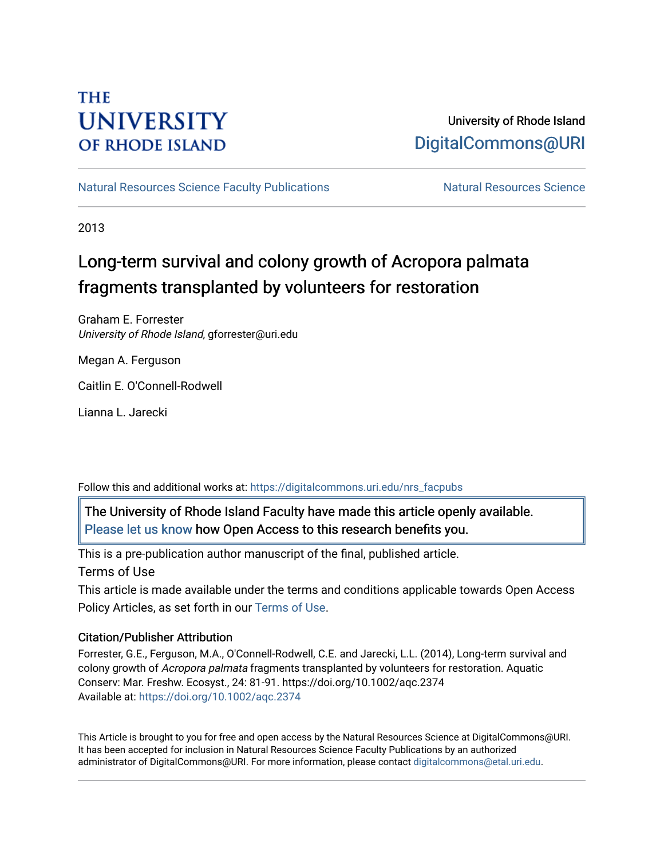## **THE UNIVERSITY OF RHODE ISLAND**

### University of Rhode Island [DigitalCommons@URI](https://digitalcommons.uri.edu/)

[Natural Resources Science Faculty Publications](https://digitalcommons.uri.edu/nrs_facpubs) Natural Resources Science

2013

# Long-term survival and colony growth of Acropora palmata fragments transplanted by volunteers for restoration

Graham E. Forrester University of Rhode Island, gforrester@uri.edu

Megan A. Ferguson

Caitlin E. O'Connell-Rodwell

Lianna L. Jarecki

Follow this and additional works at: [https://digitalcommons.uri.edu/nrs\\_facpubs](https://digitalcommons.uri.edu/nrs_facpubs?utm_source=digitalcommons.uri.edu%2Fnrs_facpubs%2F214&utm_medium=PDF&utm_campaign=PDFCoverPages) 

The University of Rhode Island Faculty have made this article openly available. [Please let us know](http://web.uri.edu/library-digital-initiatives/open-access-online-form/) how Open Access to this research benefits you.

This is a pre-publication author manuscript of the final, published article.

Terms of Use

This article is made available under the terms and conditions applicable towards Open Access Policy Articles, as set forth in our [Terms of Use](https://digitalcommons.uri.edu/nrs_facpubs/oa_policy_terms.html).

### Citation/Publisher Attribution

Forrester, G.E., Ferguson, M.A., O'Connell-Rodwell, C.E. and Jarecki, L.L. (2014), Long-term survival and colony growth of Acropora palmata fragments transplanted by volunteers for restoration. Aquatic Conserv: Mar. Freshw. Ecosyst., 24: 81-91. https://doi.org/10.1002/aqc.2374 Available at:<https://doi.org/10.1002/aqc.2374>

This Article is brought to you for free and open access by the Natural Resources Science at DigitalCommons@URI. It has been accepted for inclusion in Natural Resources Science Faculty Publications by an authorized administrator of DigitalCommons@URI. For more information, please contact [digitalcommons@etal.uri.edu.](mailto:digitalcommons@etal.uri.edu)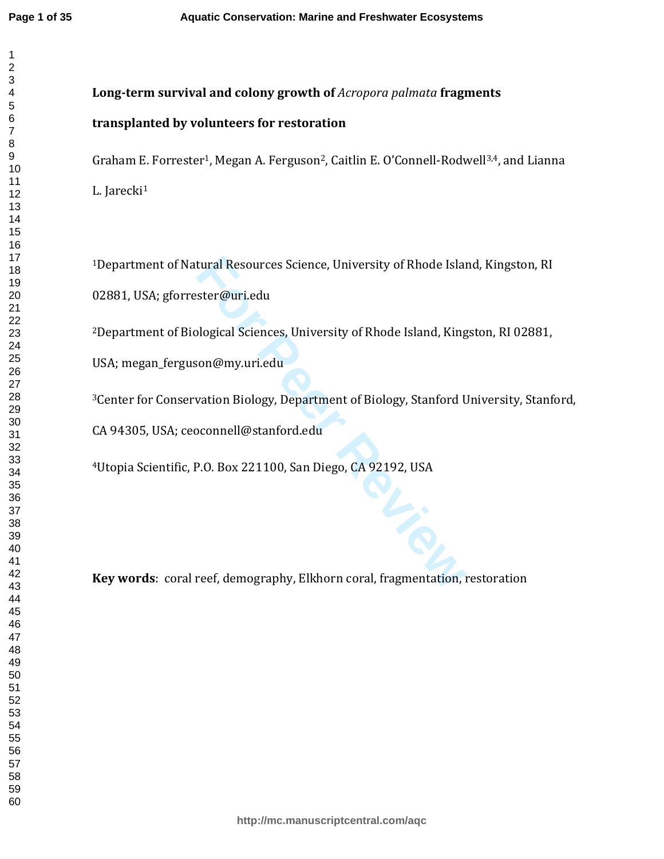tural Resources Science, University of Rhode Island<br>
ster@uri.edu<br>
blogical Sciences, University of Rhode Island, King<br>
son@my.uri.edu<br>
vation Biology, Department of Biology, Stanford U<br>
pconnell@stanford.edu<br>
P.O. Box 221 **Long-term survival and colony growth of** *Acropora palmata* **fragments transplanted by volunteers for restoration** Graham E. Forrester<sup>1</sup>, Megan A. Ferguson<sup>2</sup>, Caitlin E. O'Connell-Rodwell<sup>3,4</sup>, and Lianna L. Jarecki 1 Department of Natural Resources Science, University of Rhode Island, Kingston, RI 02881, USA; gforrester@uri.edu Department of Biological Sciences, University of Rhode Island, Kingston, RI 02881, USA; megan\_ferguson@my.uri.edu Center for Conservation Biology, Department of Biology, Stanford University, Stanford, CA 94305, USA; ceoconnell@stanford.edu Utopia Scientific, P.O. Box 221100, San Diego, CA 92192, USA

**Key words**: coral reef, demography, Elkhorn coral, fragmentation, restoration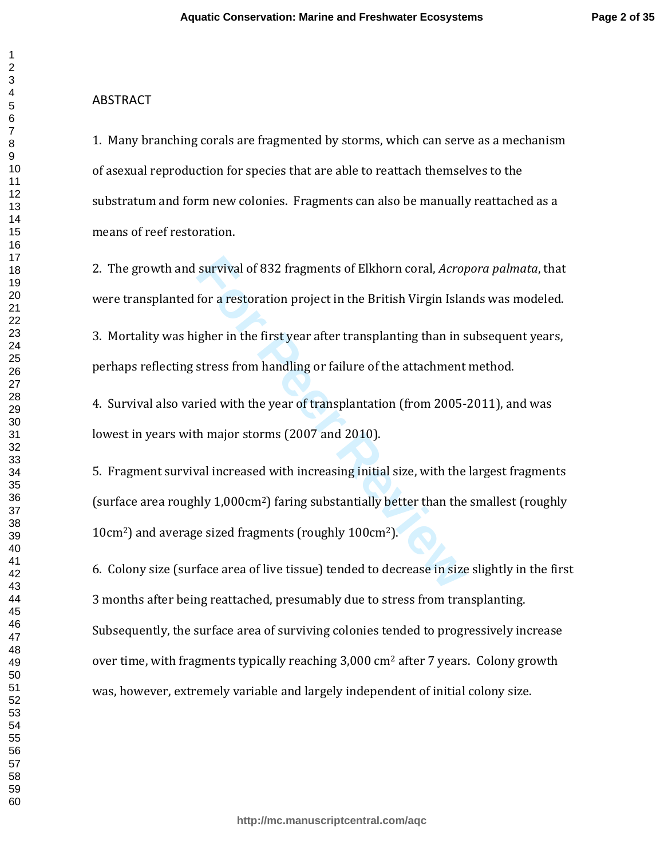#### ABSTRACT

1. Many branching corals are fragmented by storms, which can serve as a mechanism of asexual reproduction for species that are able to reattach themselves to the substratum and form new colonies. Fragments can also be manually reattached as a means of reef restoration.

2. The growth and survival of 832 fragments of Elkhorn coral, *Acropora palmata*, that were transplanted for a restoration project in the British Virgin Islands was modeled.

3. Mortality was higher in the first year after transplanting than in subsequent years, perhaps reflecting stress from handling or failure of the attachment method.

4. Survival also varied with the year of transplantation (from 2005-2011), and was lowest in years with major storms (2007 and 2010).

survival of 832 fragments of Elkhorn coral, *Acrof*<br>for a restoration project in the British Virgin Islam<br>igher in the first year after transplanting than in s<br>stress from handling or failure of the attachment<br>ried with th 5. Fragment survival increased with increasing initial size, with the largest fragments (surface area roughly 1,000cm <sup>2</sup>) faring substantially better than the smallest (roughly 10cm <sup>2</sup>) and average sized fragments (roughly 100cm <sup>2</sup>).

6. Colony size (surface area of live tissue) tended to decrease in size slightly in the first 3 months after being reattached, presumably due to stress from transplanting. Subsequently, the surface area of surviving colonies tended to progressively increase over time, with fragments typically reaching 3,000 cm <sup>2</sup> after 7 years. Colony growth was, however, extremely variable and largely independent of initial colony size.

 $\mathbf{1}$  $\overline{2}$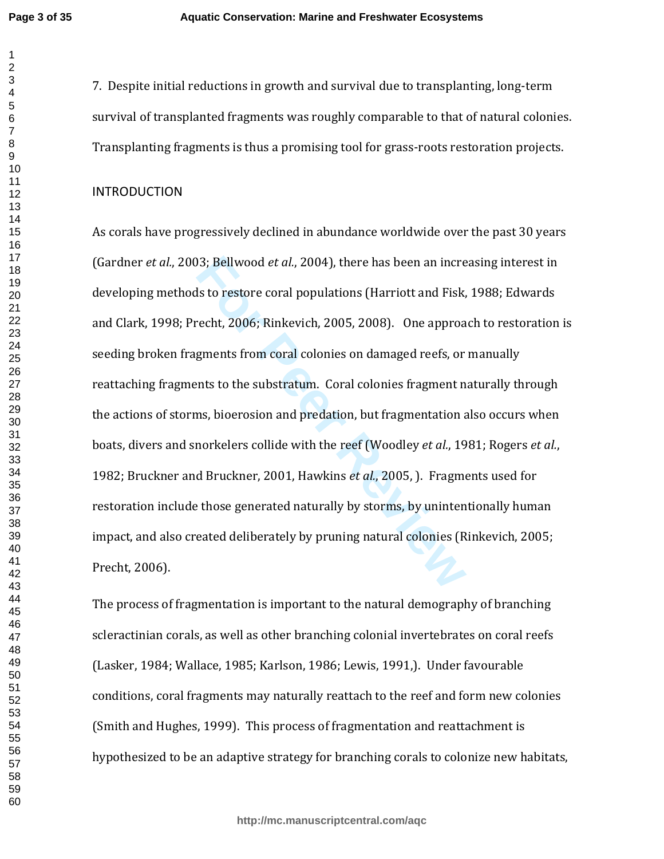$\mathbf 1$ 

7. Despite initial reductions in growth and survival due to transplanting, long-term survival of transplanted fragments was roughly comparable to that of natural colonies. Transplanting fragments is thus a promising tool for grass-roots restoration projects.

#### **INTRODUCTION**

13; Bellwood *et al.,* 2004), there has been an increst sto restore coral populations (Harriott and Fisk, recht, 2006; Rinkevich, 2005, 2008). One approagments from coral colonies on damaged reefs, or mts to the substratum As corals have progressively declined in abundance worldwide over the past 30 years (Gardner *et al.*, 2003; Bellwood *et al.*, 2004), there has been an increasing interest in developing methods to restore coral populations (Harriott and Fisk, 1988; Edwards and Clark, 1998; Precht, 2006; Rinkevich, 2005, 2008). One approach to restoration is seeding broken fragments from coral colonies on damaged reefs, or manually reattaching fragments to the substratum. Coral colonies fragment naturally through the actions of storms, bioerosion and predation, but fragmentation also occurs when boats, divers and snorkelers collide with the reef (Woodley *et al.*, 1981; Rogers *et al.*, 1982; Bruckner and Bruckner, 2001, Hawkins *et al.*, 2005, ). Fragments used for restoration include those generated naturally by storms, by unintentionally human impact, and also created deliberately by pruning natural colonies (Rinkevich, 2005; Precht, 2006).

The process of fragmentation is important to the natural demography of branching scleractinian corals, as well as other branching colonial invertebrates on coral reefs (Lasker, 1984; Wallace, 1985; Karlson, 1986; Lewis, 1991,). Under favourable conditions, coral fragments may naturally reattach to the reef and form new colonies (Smith and Hughes, 1999). This process of fragmentation and reattachment is hypothesized to be an adaptive strategy for branching corals to colonize new habitats,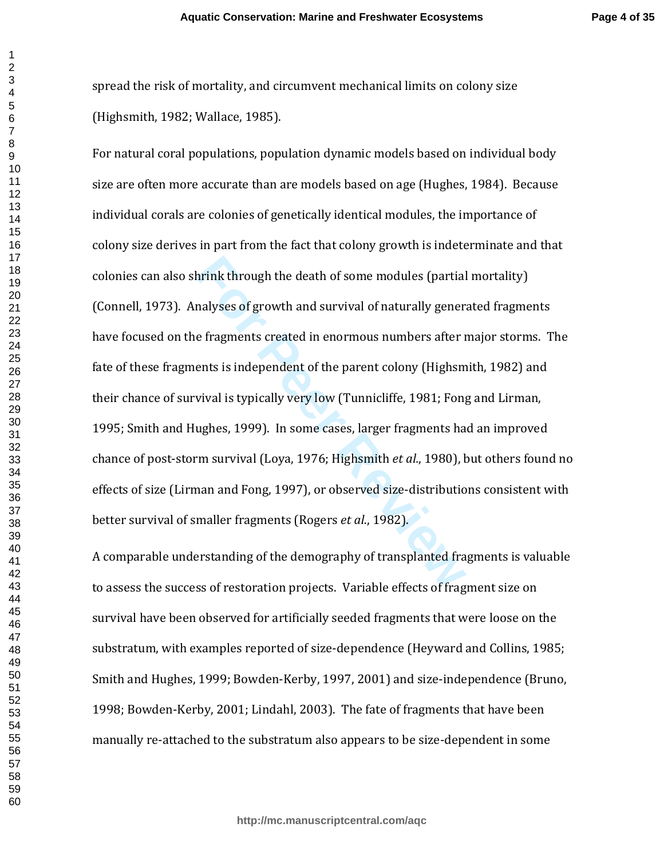spread the risk of mortality, and circumvent mechanical limits on colony size (Highsmith, 1982; Wallace, 1985).

hrink through the death of some modules (partial<br>malyses of growth and survival of naturally gener:<br>e fragments created in enormous numbers after r<br>ents is independent of the parent colony (Highsm<br>vival is typically very l For natural coral populations, population dynamic models based on individual body size are often more accurate than are models based on age (Hughes, 1984). Because individual corals are colonies of genetically identical modules, the importance of colony size derives in part from the fact that colony growth is indeterminate and that colonies can also shrink through the death of some modules (partial mortality) (Connell, 1973). Analyses of growth and survival of naturally generated fragments have focused on the fragments created in enormous numbers after major storms. The fate of these fragments is independent of the parent colony (Highsmith, 1982) and their chance of survival is typically very low (Tunnicliffe, 1981; Fong and Lirman, 1995; Smith and Hughes, 1999). In some cases, larger fragments had an improved chance of post-storm survival (Loya, 1976; Highsmit h *et al.*, 1980), but others found no effects of size (Lirman and Fong, 1997), or observed size-distributions consistent with better survival of smaller fragments (Rogers *et al.*, 1982).

A comparable understanding of the demography of transplanted fragments is valuable to assess the success of restoration projects. Variable effects of fragment size on survival have been observed for artificially seeded fragments that were loose on the substratum, with examples reported of size-dependence (Heyward and Collins, 1985; Smith and Hughes, 1999; Bowden-Kerby, 1997, 2001) and size-independence (Bruno, 1998; Bowden-Kerby, 2001; Lindahl, 2003). The fate of fragments that have been manually re-attached to the substratum also appears to be size-dependent in some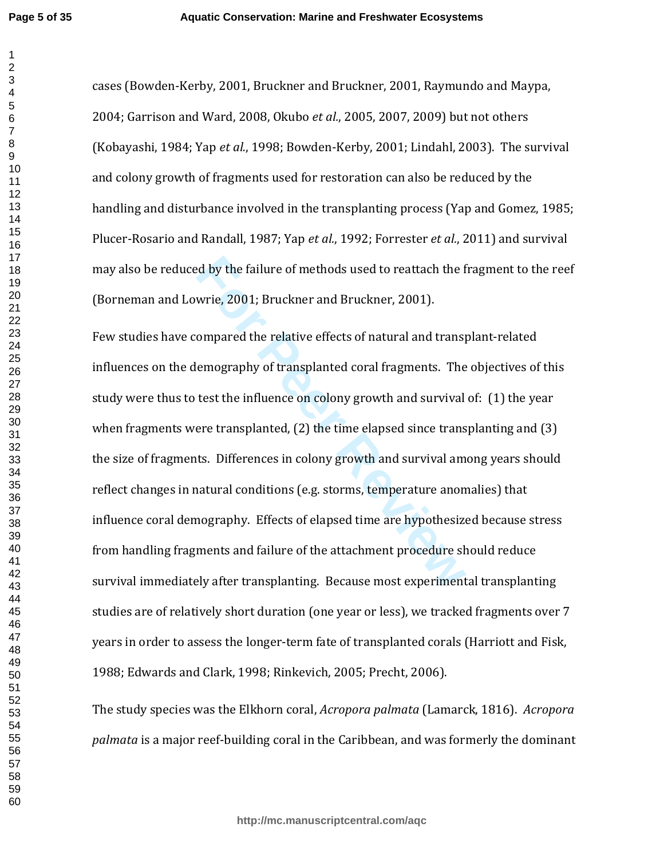cases (Bowden-Kerby, 2001, Bruckner and Bruckner, 2001, Raymundo and Maypa, 2004; Garrison and Ward, 2008, Okubo *et al.*, 2005, 2007, 2009) but not others (Kobayashi, 1984; Yap *et al.*, 1998; Bowden-Kerby, 2001; Lindahl, 2003). The survival and colony growth of fragments used for restoration can also be reduced by the handling and disturbance involved in the transplanting process (Yap and Gomez, 1985; Plucer-Rosario and Randall, 1987; Yap *et al.*, 1992; Forrester *et al.*, 2011) and survival may also be reduced by the failure of methods used to reattach the fragment to the reef (Borneman and Lowrie, 2001; Bruckner and Bruckner, 2001).

relative of methods used to reattach the followie, 2001; Bruckner and Bruckner, 2001).<br> **Sumpared the relative effects of natural and transy**<br> **Eventuary** emography of transplanted coral fragments. The<br>
test the influence Few studies have compared the relative effects of natural and transplant-related influences on the demography of transplanted coral fragments. The objectives of this study were thus to test the influence on colony growth and survival of: (1) the year when fragments were transplanted, (2) the time elapsed since transplanting and (3) the size of fragments. Differences in colony growth and survival among years should reflect changes in natural conditions (e.g. storms, temperature anomalies) that influence coral demography. Effects of elapsed time are hypothesized because stress from handling fragments and failure of the attachment procedure should reduce survival immediately after transplanting. Because most experimental transplanting studies are of relatively short duration (one year or less), we tracked fragments over 7 years in order to assess the longer-term fate of transplanted corals (Harriott and Fisk, 1988; Edwards and Clark, 1998; Rinkevich, 2005; Precht, 2006).

The study species was the Elkhorn coral, *Acropora palmata* (Lamarck, 1816). *Acropora palmata* is a major reef-building coral in the Caribbean, and was formerly the dominant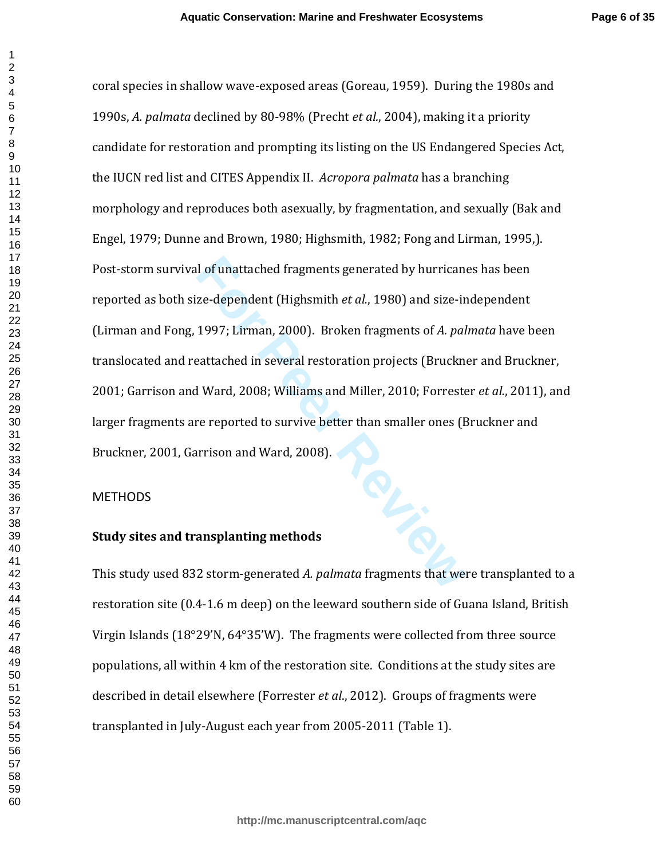coral species in shallow wave-exposed areas (Goreau, 1959). During the 1980s and 1990s, *A. palmata* declined by 80-98% (Precht *et al.*, 2004), making it a priority candidate for restoration and prompting its listing on the US Endangered Species Act, the IUCN red list and CITES Appendix II. *Acropora palmata* has a branching morphology and reproduces both asexually, by fragmentation, and sexually (Bak and Engel, 1979; Dunne and Brown, 1980; Highsmith, 1982; Fong and Lirman, 1995,). Post-storm survival of unattached fragments generated by hurricanes has been reported as both size-dependent (Highsmith *et al.*, 1980) and size-independent (Lirman and Fong, 1997; Lirman, 2000). Broken fragments of *A. palmata* have been translocated and reattached in several restoration projects (Bruckner and Bruckner, 2001; Garrison and Ward, 2008; Williams and Miller, 2010; Forrester *et al.*, 2011), and larger fragments are reported to survive better than smaller ones (Bruckner and Bruckner, 2001, Garrison and Ward, 2008).

#### **METHODS**

#### **Study sites and transplanting methods**

This study used 832 storm-generated *A. palmata* fragments that were transplanted to a restoration site (0.4-1.6 m deep) on the leeward southern side of Guana Island, British Virgin Islands (18°29'N, 64°35'W). The fragments were collected from three source populations, all within 4 km of the restoration site. Conditions at the study sites are described in detail elsewhere (Forrester *et al*., 2012). Groups of fragments were transplanted in July-August each year from 2005-2011 (Table 1).

 $\mathbf{1}$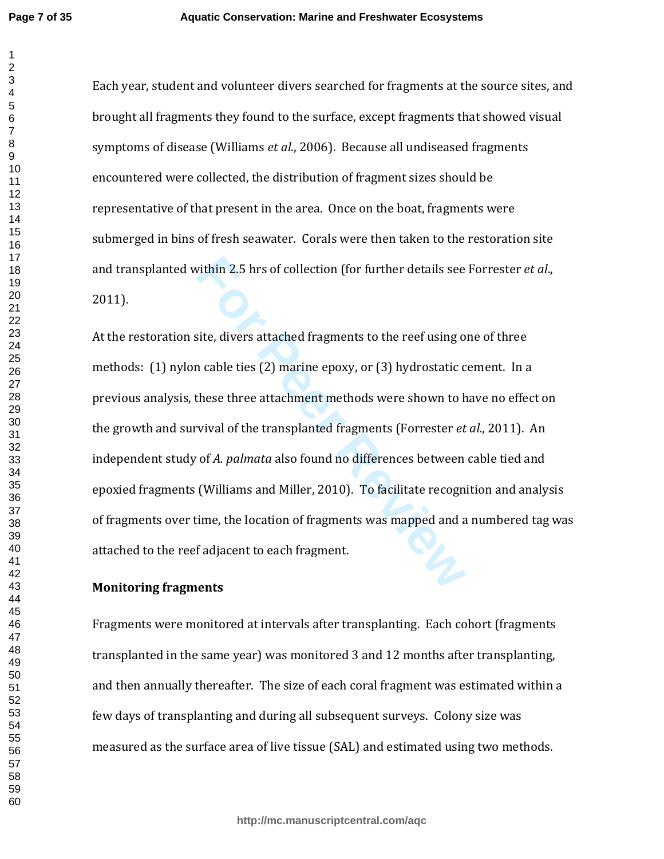Each year, student and volunteer divers searched for fragments at the source sites, and brought all fragments they found to the surface, except fragments that showed visual symptoms of disease (Williams *et al*., 2006). Because all undiseased fragments encountered were collected, the distribution of fragment sizes should be representative of that present in the area. Once on the boat, fragments were submerged in bins of fresh seawater. Corals were then taken to the restoration site and transplanted within 2.5 hrs of collection (for further details see Forrester *et al*., 2011).

vithin 2.5 hrs of collection (for further details see<br>site, divers attached fragments to the reef using o<br>n cable ties (2) marine epoxy, or (3) hydrostatic c<br>these three attachment methods were shown to h<br>vival of the tran At the restoration site, divers attached fragments to the reef using one of three methods: (1) nylon cable ties (2) marine epoxy, or (3) hydrostatic cement. In a previous analysis, these three attachment methods were shown to have no effect on the growth and survival of the transplanted fragments (Forrester *et al.*, 2011). An independent study of *A. palmata* also found no differences between cable tied and epoxied fragments (Williams and Miller, 2010). To facilitate recognition and analysis of fragments over time, the location of fragments was mapped and a numbered tag was attached to the reef adjacent to each fragment.

#### **Monitoring fragments**

Fragments were monitored at intervals after transplanting. Each cohort (fragments transplanted in the same year) was monitored 3 and 12 months after transplanting, and then annually thereafter. The size of each coral fragment was estimated within a few days of transplanting and during all subsequent surveys. Colony size was measured as the surface area of live tissue (SAL) and estimated using two methods.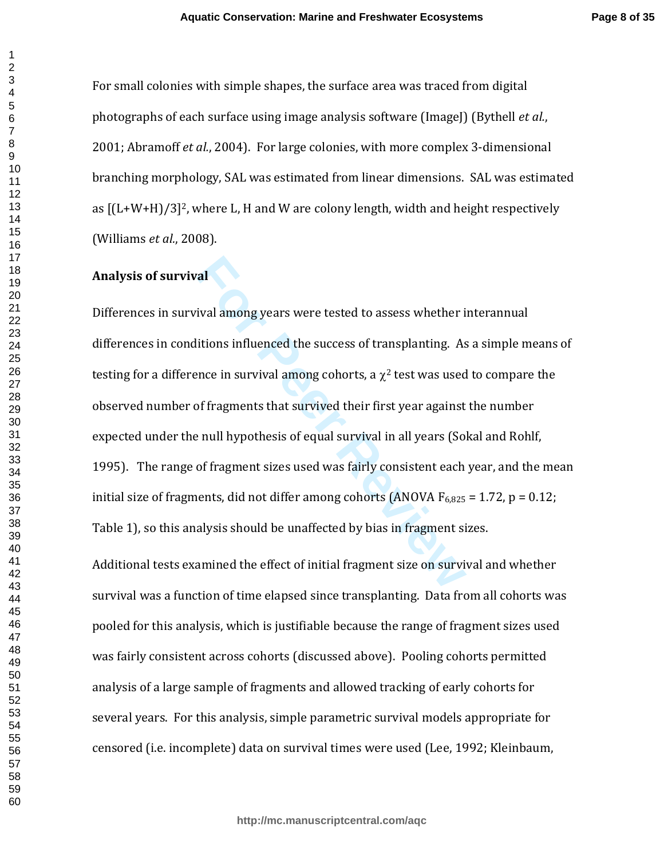For small colonies with simple shapes, the surface area was traced from digital photographs of each surface using image analysis software (ImageJ) (Bythell et al., 2001; Abramoff *et al.*, 2004). For large colonies, with more complex 3-dimensional branching morphology, SAL was estimated from linear dimensions. SAL was estimated as [(L+W+H)/3] <sup>2</sup>, where L, H and W are colony length, width and height respectively (Williams *et al.*, 2008).

#### **Analysis of survival**

**Formular Example 2013**<br>**Formular Example 2013**<br>**Formular Example 2014**<br>**Formular Example 2014**<br>**Formular Example 2015**<br>**Formular Example 2015**<br>**Formular Example 2014**<br>**Formular Example 2014**<br>**Formular Example 2014**<br>**Form** Differences in survival among years were tested to assess whether interannual differences in conditions influenced the success of transplanting. As a simple means of testing for a difference in survival among cohorts, a  $\chi^2$  test was used to compare the observed number of fragments that survived their first year against the number expected under the null hypothesis of equal survival in all years (Sokal and Rohlf, 1995). The range of fragment sizes used was fairly consistent each year, and the mean initial size of fragments, did not differ among cohorts (ANOVA  $F_{6,825} = 1.72$ , p = 0.12; Table 1), so this analysis should be unaffected by bias in fragment sizes.

Additional tests examined the effect of initial fragment size on survival and whether survival was a function of time elapsed since transplanting. Data from all cohorts was pooled for this analysis, which is justifiable because the range of fragment sizes used was fairly consistent across cohorts (discussed above). Pooling cohorts permitted analysis of a large sample of fragments and allowed tracking of early cohorts for several years. For this analysis, simple parametric survival models appropriate for censored (i.e. incomplete) data on survival times were used (Lee, 1992; Kleinbaum,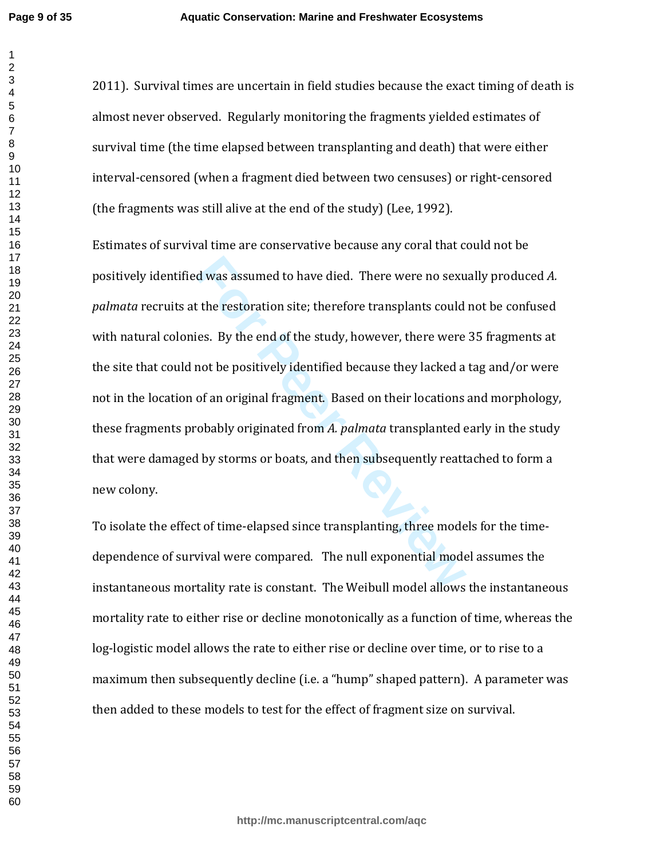2011). Survival times are uncertain in field studies because the exact timing of death is almost never observed. Regularly monitoring the fragments yielded estimates of survival time (the time elapsed between transplanting and death) that were either interval-censored (when a fragment died between two censuses) or right-censored (the fragments was still alive at the end of the study) (Lee, 1992).

d was assumed to have died. There were no sexu<br>t the restoration site; therefore transplants could<br>ies. By the end of the study, however, there were<br>mot be positively identified because they lacked a<br>of an original fragmen Estimates of survival time are conservative because any coral that could not be positively identified was assumed to have died. There were no sexually produced *A. palmata* recruits at the restoration site; therefore transplants could not be confused with natural colonies. By the end of the study, however, there were 35 fragments at the site that could not be positively identified because they lacked a tag and/or were not in the location of an original fragment. Based on their locations and morphology, these fragments probably originated from *A. palmata* transplanted early in the study that were damaged by storms or boats, and then subsequently reattached to form a new colony.

To isolate the effect of time-elapsed since transplanting, three models for the timedependence of survival were compared. The null exponential model assumes the instantaneous mortality rate is constant. The Weibull model allows the instantaneous mortality rate to either rise or decline monotonically as a function of time, whereas the log-logistic model allows the rate to either rise or decline over time, or to rise to a maximum then subsequently decline (i.e. a "hump" shaped pattern). A parameter was then added to these models to test for the effect of fragment size on survival.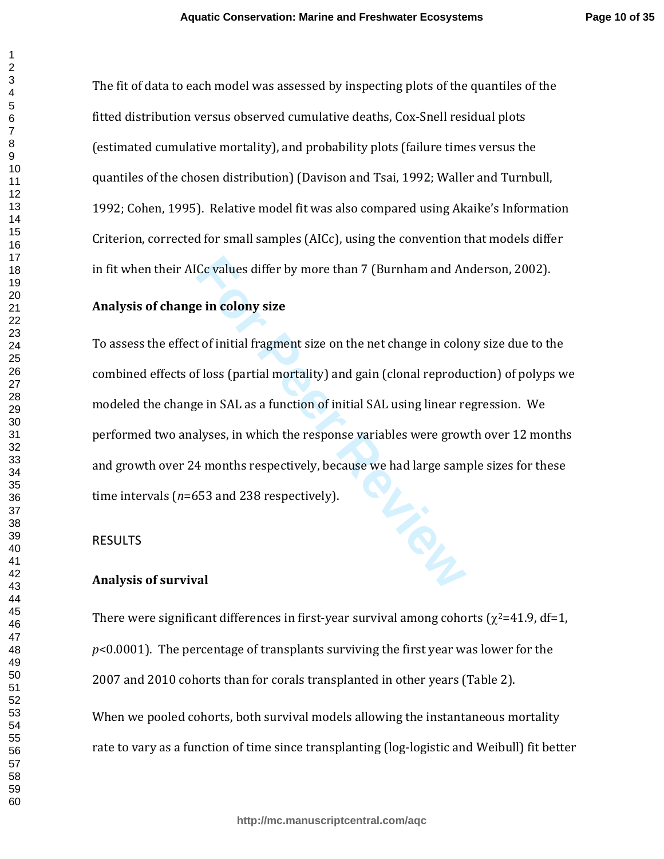The fit of data to each model was assessed by inspecting plots of the quantiles of the fitted distribution versus observed cumulative deaths, Cox-Snell residual plots (estimated cumulative mortality), and probability plots (failure times versus the quantiles of the chosen distribution) (Davison and Tsai, 1992; Waller and Turnbull, 1992; Cohen, 1995). Relative model fit was also compared using Akaike's Information Criterion, corrected for small samples (AICc), using the convention that models differ in fit when their AICc values differ by more than 7 (Burnham and Anderson, 2002).

#### **Analysis of change in colony size**

To assess the effect of initial fragment size on the net change in colony size due to the combined effects of loss (partial mortality) and gain (clonal reproduction) of polyps we modeled the change in SAL as a function of initial SAL using linear regression. We performed two analyses, in which the response variables were growth over 12 months and growth over 24 months respectively, because we had large sample sizes for these time intervals ( *n*=653 and 238 respectively).

#### RESULTS

#### **Analysis of survival**

There were significant differences in first-year survival among cohorts ( $\chi^2$ =41.9, df=1, *p*<0.0001). The percentage of transplants surviving the first year was lower for the 2007 and 2010 cohorts than for corals transplanted in other years (Table 2). When we pooled cohorts, both survival models allowing the instantaneous mortality rate to vary as a function of time since transplanting (log-logistic and Weibull) fit better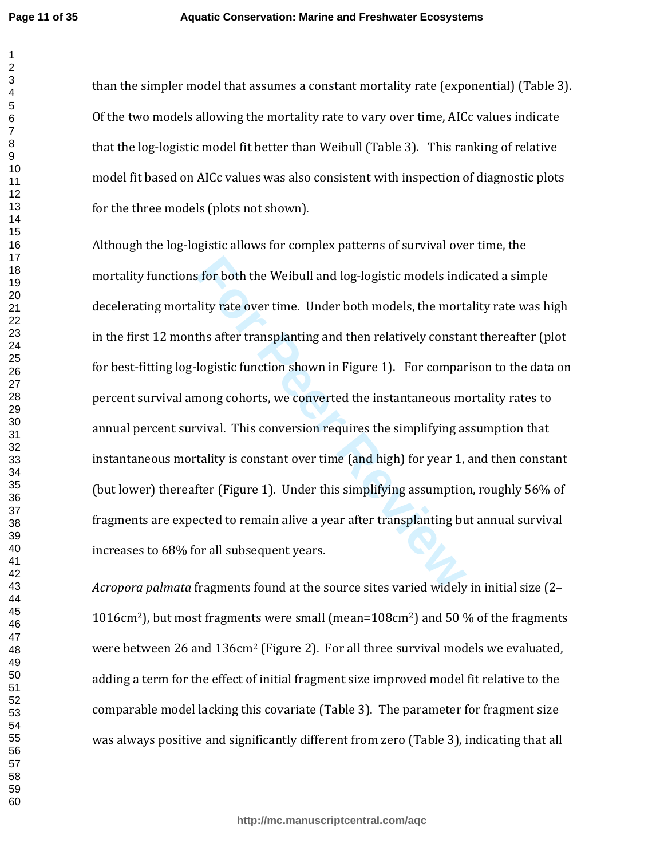**Page 11 of 35**

than the simpler model that assumes a constant mortality rate (exponential) (Table 3). Of the two models allowing the mortality rate to vary over time, AICc values indicate that the log-logistic model fit better than Weibull (Table 3). This ranking of relative model fit based on AICc values was also consistent with inspection of diagnostic plots for the three models (plots not shown).

For both the Weibull and log-logistic models indi<br>ility rate over time. Under both models, the mort<br>ths after transplanting and then relatively constai<br>logistic function shown in Figure 1). For compar<br>mong cohorts, we conv Although the log-logistic allows for complex patterns of survival over time, the mortality functions for both the Weibull and log-logistic models indicated a simple decelerating mortality rate over time. Under both models, the mortality rate was high in the first 12 months after transplanting and then relatively constant thereafter (plot for best-fitting log-logistic function shown in Figure 1). For comparison to the data on percent survival among cohorts, we converted the instantaneous mortality rates to annual percent survival. This conversion requires the simplifying assumption that instantaneous mortality is constant over time (and high) for year 1, and then constant (but lower) thereafter (Figure 1). Under this simplifying assumption, roughly 56% of fragments are expected to remain alive a year after transplanting but annual survival increases to 68% for all subsequent years.

*Acropora palmata* fragments found at the source sites varied widely in initial size (2– 1016cm <sup>2</sup>), but most fragments were small (mean=108cm <sup>2</sup>) and 50 % of the fragments were between 26 and 136cm<sup>2</sup> (Figure 2). For all three survival models we evaluated, adding a term for the effect of initial fragment size improved model fit relative to the comparable model lacking this covariate (Table 3). The parameter for fragment size was always positive and significantly different from zero (Table 3), indicating that all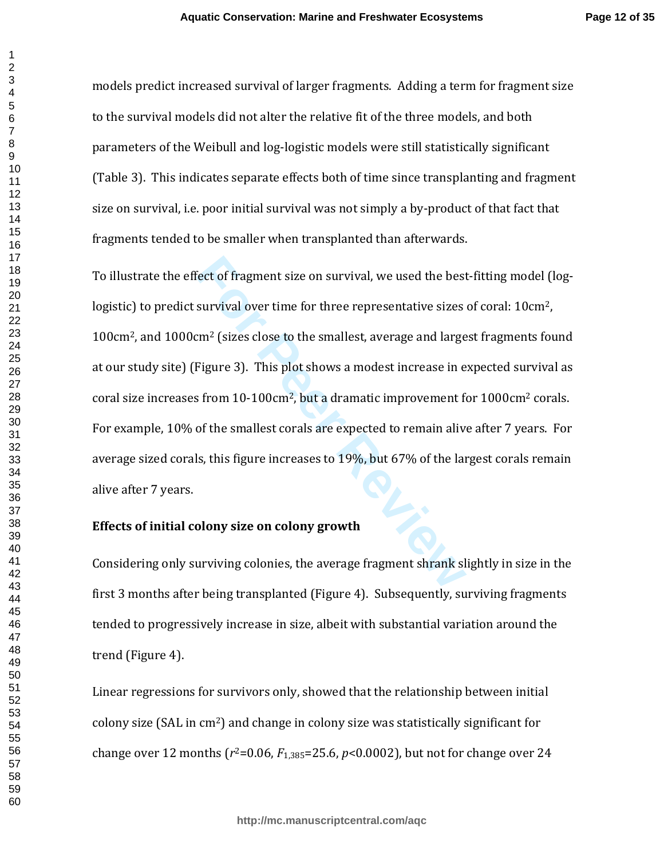models predict increased survival of larger fragments. Adding a term for fragment size to the survival models did not alter the relative fit of the three models, and both parameters of the Weibull and log-logistic models were still statistically significant (Table 3). This indicates separate effects both of time since transplanting and fragment size on survival, i.e. poor initial survival was not simply a by-product of that fact that fragments tended to be smaller when transplanted than afterwards.

Fect of fragment size on survival, we used the best<br>survival over time for three representative sizes<br> $\text{cm}^2$  (sizes close to the smallest, average and large<br>Figure 3). This plot shows a modest increase in e<br>s from 10-10 To illustrate the effect of fragment size on survival, we used the best-fitting model (loglogistic) to predict survival over time for three representative sizes of coral: 10cm2, 100cm <sup>2</sup>, and 1000cm <sup>2</sup> (sizes close to the smallest, average and largest fragments found at our study site) (Figure 3). This plot shows a modest increase in expected survival as coral size increases from 10-100cm <sup>2</sup>, but a dramatic improvement for 1000cm <sup>2</sup> corals. For example, 10% of the smallest corals are expected to remain alive after 7 years. For average sized corals, this figure increases to 19%, but 67% of the largest corals remain alive after 7 years.

#### **Effects of initial colony size on colony growth**

Considering only surviving colonies, the average fragment shrank slightly in size in the first 3 months after being transplanted (Figure 4). Subsequently, surviving fragments tended to progressively increase in size, albeit with substantial variation around the trend (Figure 4).

Linear regressions for survivors only, showed that the relationship between initial colony size (SAL in cm <sup>2</sup>) and change in colony size was statistically significant for change over 12 months ( $r^2$ =0.06,  $F_{1,385}$ =25.6,  $p$ <0.0002), but not for change over 24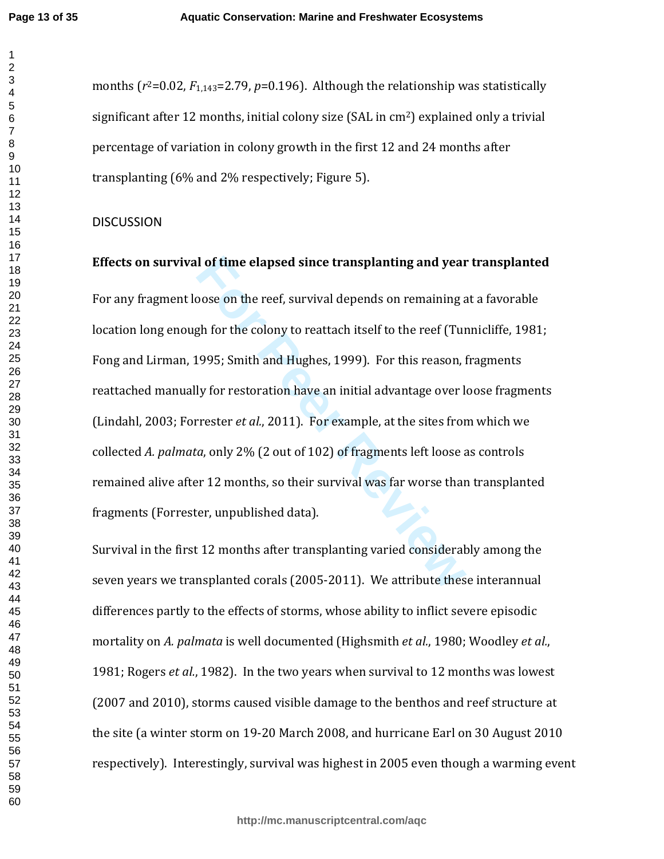**Page 13 of 35**

months  $(r^2=0.02, F_{1,143}=2.79, p=0.196)$ . Although the relationship was statistically significant after 12 months, initial colony size (SAL in cm <sup>2</sup>) explained only a trivial percentage of variation in colony growth in the first 12 and 24 months after transplanting (6% and 2% respectively; Figure 5).

#### **DISCUSSION**

**Effects on survival of time elapsed since transplanting and year transplanted** 

**I** of time elapsed since transplanting and year<br>coose on the reef, survival depends on remaining a<br>gh for the colony to reattach itself to the reef (Tur<br>1995; Smith and Hughes, 1999). For this reason, i<br>ly for restoration For any fragment loose on the reef, survival depends on remaining at a favorable location long enough for the colony to reattach itself to the reef (Tunnicliffe, 1981; Fong and Lirman, 1995; Smith and Hughes, 1999). For this reason, fragments reattached manually for restoration have an initial advantage over loose fragments (Lindahl, 2003; Forrester *et al.*, 2011). For example, at the sites from which we collected *A. palmata*, only 2% (2 out of 102) of fragments left loose as controls remained alive after 12 months, so their survival was far worse than transplanted fragments (Forrester, unpublished data).

Survival in the first 12 months after transplanting varied considerably among the seven years we transplanted corals (2005-2011). We attribute these interannual differences partly to the effects of storms, whose ability to inflict severe episodic mortality on *A. palmata* is well documented (Highsmith *et al.*, 1980; Woodley *et al.*, 1981; Rogers *et al.*, 1982). In the two years when survival to 12 months was lowest (2007 and 2010), storms caused visible damage to the benthos and reef structure at the site (a winter storm on 19-20 March 2008, and hurricane Earl on 30 August 2010 respectively). Interestingly, survival was highest in 2005 even though a warming event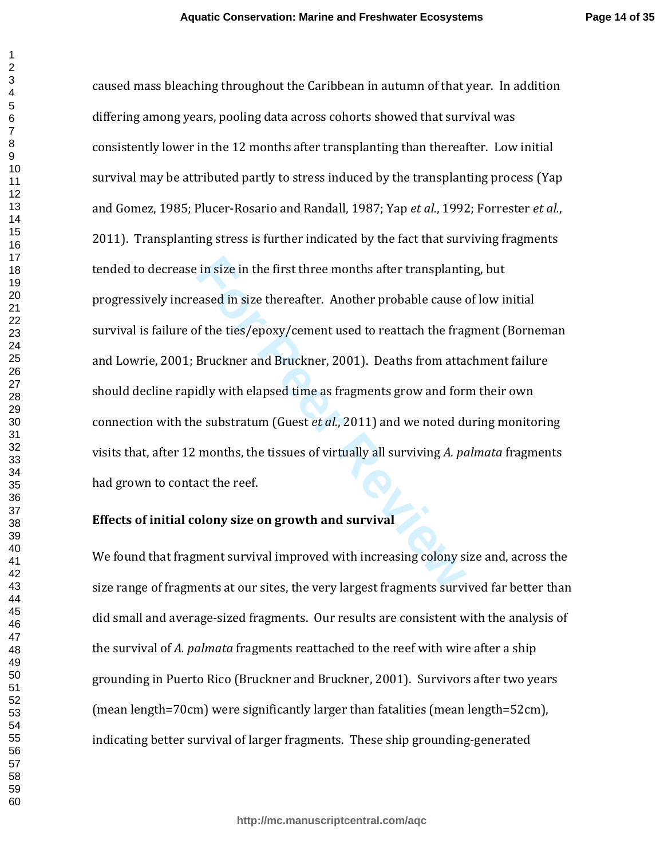For the first three months after transplantified<br>the first three months after transplantified and the fragent of the ties/epoxy/cement used to reattach the fragent<br>Bruckner and Bruckner, 2001). Deaths from attaily with ela caused mass bleaching throughout the Caribbean in autumn of that year. In addition differing among years, pooling data across cohorts showed that survival was consistently lower in the 12 months after transplanting than thereafter. Low initial survival may be attributed partly to stress induced by the transplanting process (Yap and Gomez, 1985; Plucer-Rosario and Randall, 1987; Yap *et al.*, 1992; Forrester *et al.*, 2011). Transplanting stress is further indicated by the fact that surviving fragments tended to decrease in size in the first three months after transplanting, but progressively increased in size thereafter. Another probable cause of low initial survival is failure of the ties/epoxy/cement used to reattach the fragment (Borneman and Lowrie, 2001; Bruckner and Bruckner, 2001). Deaths from attachment failure should decline rapidly with elapsed time as fragments grow and form their own connection with the substratum (Guest *et al.* , 2011) and we noted during monitoring visits that, after 12 months, the tissues of virtually all surviving *A. palmata* fragments had grown to contact the reef.

#### **Effects of initial colony size on growth and survival**

We found that fragment survival improved with increasing colony size and, across the size range of fragments at our sites, the very largest fragments survived far better than did small and average-sized fragments. Our results are consistent with the analysis of the survival of *A. palmata* fragments reattached to the reef with wire after a ship grounding in Puerto Rico (Bruckner and Bruckner, 2001). Survivors after two years (mean length=70cm) were significantly larger than fatalities (mean length=52cm), indicating better survival of larger fragments. These ship grounding-generated

 $\mathbf{1}$  $\overline{2}$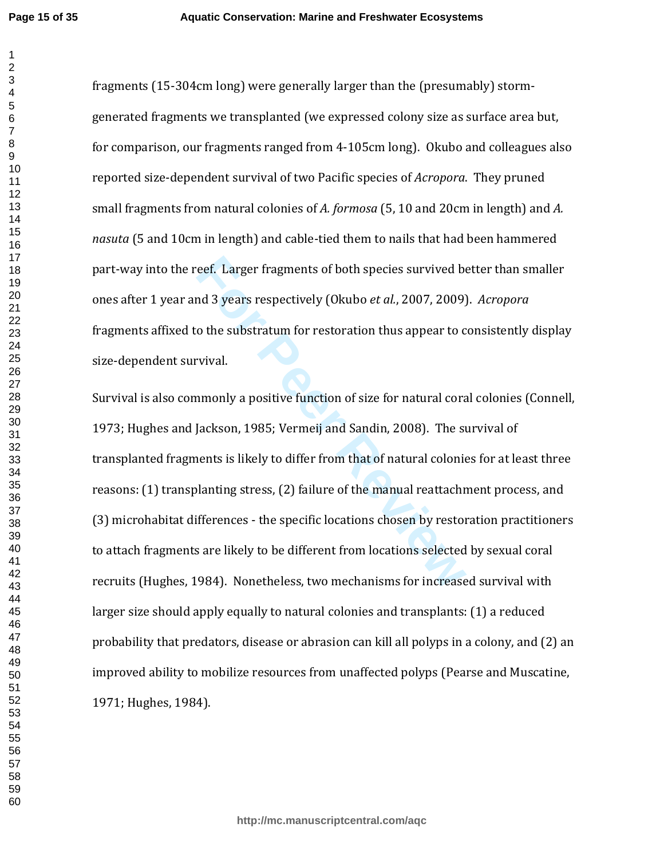$\mathbf 1$ 

fragments (15-304cm long) were generally larger than the (presumably) stormgenerated fragments we transplanted (we expressed colony size as surface area but, for comparison, our fragments ranged from 4-105cm long). Okubo and colleagues also reported size-dependent survival of two Pacific species of *Acropora*. They pruned small fragments from natural colonies of *A. formosa* (5, 10 and 20cm in length) and *A. nasuta* (5 and 10cm in length) and cable-tied them to nails that had been hammered part-way into the reef. Larger fragments of both species survived better than smaller ones after 1 year and 3 years respectively (Okubo *et al.*, 2007, 2009). *Acropora* fragments affixed to the substratum for restoration thus appear to consistently display size-dependent survival.

reef. Larger fragments of both species survived botary<br>and 3 years respectively (Okubo *et al.*, 2007, 2009)<br>o the substratum for restoration thus appear to c<br>vival.<br>annonly a positive function of size for natural cora<br>Jac Survival is also commonly a positive function of size for natural coral colonies (Connell, 1973; Hughes and Jackson, 1985; Vermeij and Sandin, 2008). The survival of transplanted fragments is likely to differ from that of natural colonies for at least three reasons: (1) transplanting stress, (2) failure of the manual reattachment process, and (3) microhabitat differences - the specific locations chosen by restoration practitioners to attach fragments are likely to be different from locations selected by sexual coral recruits (Hughes, 1984). Nonetheless, two mechanisms for increased survival with larger size should apply equally to natural colonies and transplants: (1) a reduced probability that predators, disease or abrasion can kill all polyps in a colony, and (2) an improved ability to mobilize resources from unaffected polyps (Pearse and Muscatine, 1971; Hughes, 1984).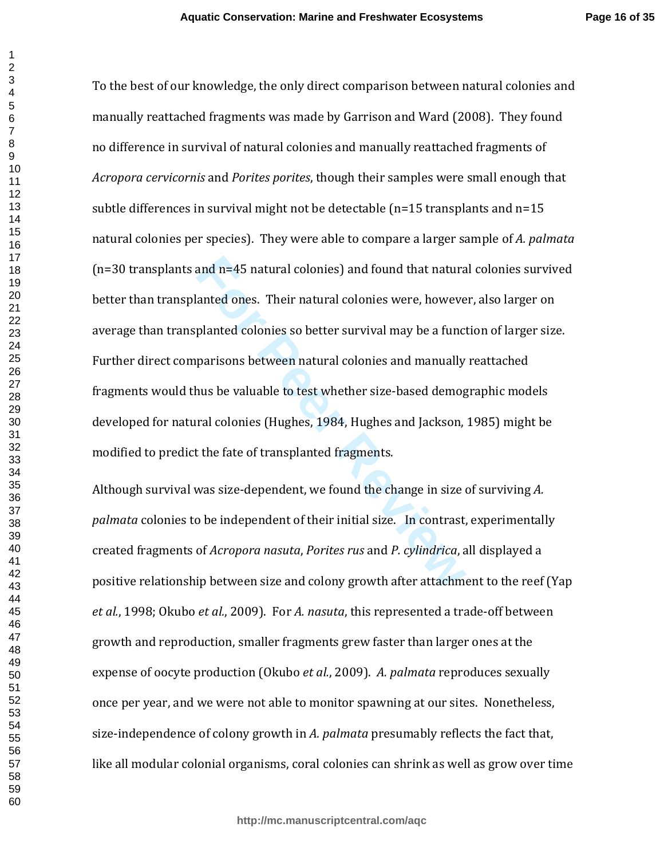**Page 16 of 35**

and n=45 natural colonies) and found that natura<br>anted ones. Their natural colonies were, howeve<br>planted colonies so better survival may be a func<br>parisons between natural colonies and manually<br>nus be valuable to test whet To the best of our knowledge, the only direct comparison between natural colonies and manually reattached fragments was made by Garrison and Ward (2008). They found no difference in survival of natural colonies and manually reattached fragments of *Acropora cervicornis* and *Porites porites*, though their samples were small enough that subtle differences in survival might not be detectable (n=15 transplants and n=15 natural colonies per species). They were able to compare a larger sample of *A. palmata* (n=30 transplants and n=45 natural colonies) and found that natural colonies survived better than transplanted ones. Their natural colonies were, however, also larger on average than transplanted colonies so better survival may be a function of larger size. Further direct comparisons between natural colonies and manually reattached fragments would thus be valuable to test whether size-based demographic models developed for natural colonies (Hughes, 1984, Hughes and Jackson, 1985) might be modified to predict the fate of transplanted fragments.

Although survival was size-dependent, we found the change in size of surviving *A. palmata* colonies to be independent of their initial size. In contrast, experimentally created fragments of *Acropora nasuta*, *Porites rus* and *P. cylindrica*, all displayed a positive relationship between size and colony growth after attachment to the reef (Yap *et al.*, 1998; Okubo *et al.*, 2009). For *A. nasuta*, this represented a trade-off between growth and reproduction, smaller fragments grew faster than larger ones at the expense of oocyte production (Okubo *et al.*, 2009). *A. palmata* reproduces sexually once per year, and we were not able to monitor spawning at our sites. Nonetheless, size-independence of colony growth in *A. palmata* presumably reflects the fact that, like all modular colonial organisms, coral colonies can shrink as well as grow over time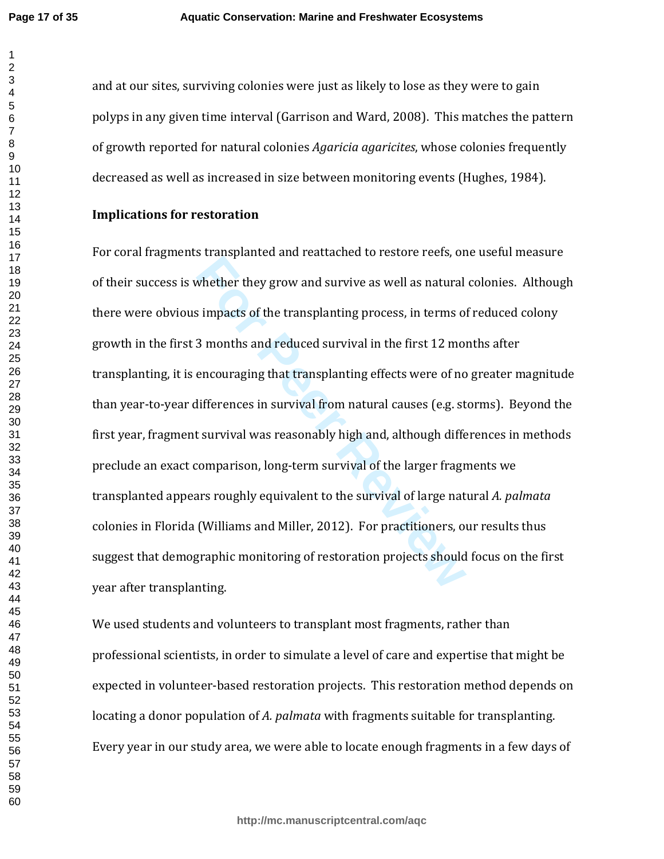**Page 17 of 35**

 $\mathbf{1}$ 

and at our sites, surviving colonies were just as likely to lose as they were to gain polyps in any given time interval (Garrison and Ward, 2008). This matches the pattern of growth reported for natural colonies *Agaricia agaricites*, whose colonies frequently decreased as well as increased in size between monitoring events (Hughes, 1984).

#### **Implications for restoration**

*For a manufanture and survive as well as natural*<br>impacts of the transplanting process, in terms of<br>3 months and reduced survival in the first 12 more<br>encouraging that transplanting effects were of no<br>ifferences in surviv For coral fragments transplanted and reattached to restore reefs, one useful measure of their success is whether they grow and survive as well as natural colonies. Although there were obvious impacts of the transplanting process, in terms of reduced colony growth in the first 3 months and reduced survival in the first 12 months after transplanting, it is encouraging that transplanting effects were of no greater magnitude than year-to-year differences in survival from natural causes (e.g. storms). Beyond the first year, fragment survival was reasonably high and, although differences in methods preclude an exact comparison, long-term survival of the larger fragments we transplanted appears roughly equivalent to the survival of large natural *A. palmata* colonies in Florida (Williams and Miller, 2012). For practitioners, our results thus suggest that demographic monitoring of restoration projects should focus on the first year after transplanting.

We used students and volunteers to transplant most fragments, rather than professional scientists, in order to simulate a level of care and expertise that might be expected in volunteer-based restoration projects. This restoration method depends on locating a donor population of *A. palmata* with fragments suitable for transplanting. Every year in our study area, we were able to locate enough fragments in a few days of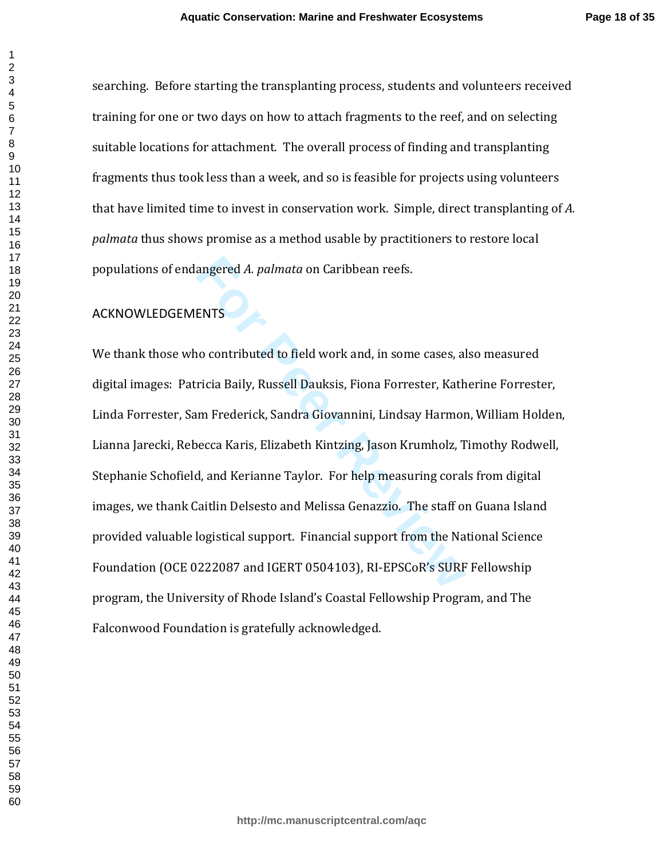searching. Before starting the transplanting process, students and volunteers received training for one or two days on how to attach fragments to the reef, and on selecting suitable locations for attachment. The overall process of finding and transplanting fragments thus took less than a week, and so is feasible for projects using volunteers that have limited time to invest in conservation work. Simple, direct transplanting of *A. palmata* thus shows promise as a method usable by practitioners to restore local populations of endangered *A. palmata* on Caribbean reefs.

### ACKNOWLEDGEMENTS

angered *A. palmata* on Caribbean reefs.<br>**ENTS**<br>**FORTS**<br>**FORTS**<br>**FORTS**<br>**FORTS**<br>**FORTS**<br>**FORTS**<br>**FORTS**<br>**FORTS**<br>**FORTS**<br>**FORTS**<br>**FORTS**<br>**FORTS**<br>**FORTS**<br>**FORTS**<br>**FORTS**<br>**FORTS**<br>**FORTS**<br>**FORTS**<br>**FORTS**<br>**FORTS**<br>**FORTS**<br>**FORTS** We thank those who contributed to field work and, in some cases, also measured digital images: Patricia Baily, Russell Dauksis, Fiona Forrester, Katherine Forrester, Linda Forrester, Sam Frederick, Sandra Giovannini, Lindsay Harmon, William Holden, Lianna Jarecki, Rebecca Karis, Elizabeth Kintzing, Jason Krumholz, Timothy Rodwell, Stephanie Schofield, and Kerianne Taylor. For help measuring corals from digital images, we thank Caitlin Delsesto and Melissa Genazzio. The staff on Guana Island provided valuable logistical support. Financial support from the National Science Foundation (OCE 0222087 and IGERT 0504103), RI-EPSCoR's SURF Fellowship program, the University of Rhode Island's Coastal Fellowship Program, and The Falconwood Foundation is gratefully acknowledged.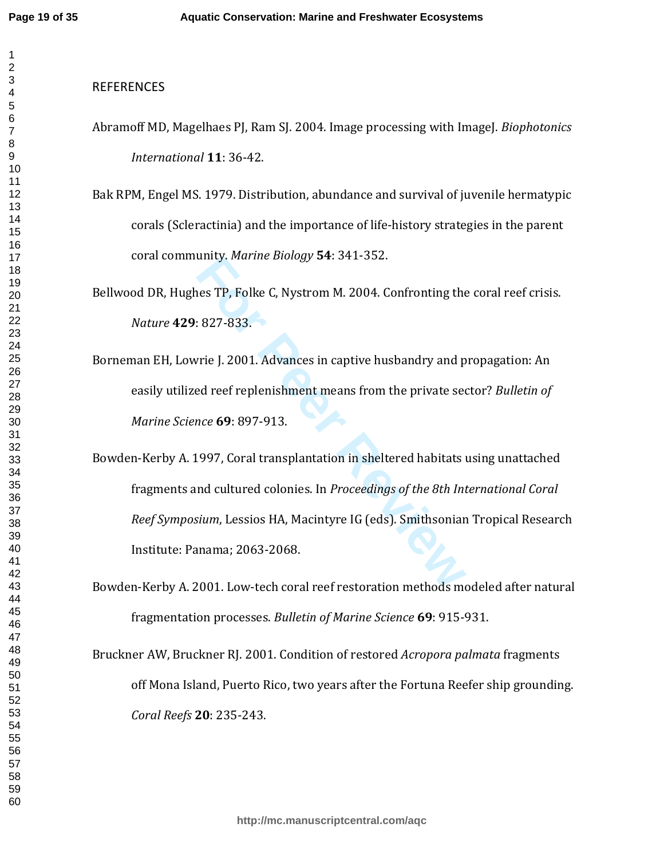#### **REFERENCES**

- Abramoff MD, Magelhaes PJ, Ram SJ. 2004. Image processing with ImageJ. *Biophotonics International* **11**: 36-42.
- Bak RPM, Engel MS. 1979. Distribution, abundance and survival of juvenile hermatypic corals (Scleractinia) and the importance of life-history strategies in the parent coral community. *Marine Biology* **54**: 341-352.

Bellwood DR, Hughes TP, Folke C, Nystrom M. 2004. Confronting the coral reef crisis. *Nature* **429**: 827-833.

Borneman EH, Lowrie J. 2001. Advances in captive husbandry and propagation: An easily utilized reef replenishment means from the private sector? *Bulletin of Marine Science* **69**: 897-913.

unity. *Marine Biology* 54: 341-552.<br>For PP, Folke C, Nystrom M. 2004. Confronting the<br>Form Beer Review Biology 34: 341-552.<br>For Peer Review Biology and peer CP Peer Represence 69: 897-913.<br>For Peer Review Biology Coral tr Bowden-Kerby A. 1997, Coral transplantation in sheltered habitats using unattached fragments and cultured colonies. In *Proceedings of the 8th International Coral Reef Symposium*, Lessios HA, Macintyre IG (eds). Smithsonian Tropical Research Institute: Panama; 2063-2068.

Bowden-Kerby A. 2001. Low-tech coral reef restoration methods modeled after natural fragmentation processes. *Bulletin of Marine Science* **69**: 915-931.

Bruckner AW, Bruckner RJ. 2001. Condition of restored *Acropora palmata* fragments off Mona Island, Puerto Rico, two years after the Fortuna Reefer ship grounding. *Coral Reefs* **20**: 235-243.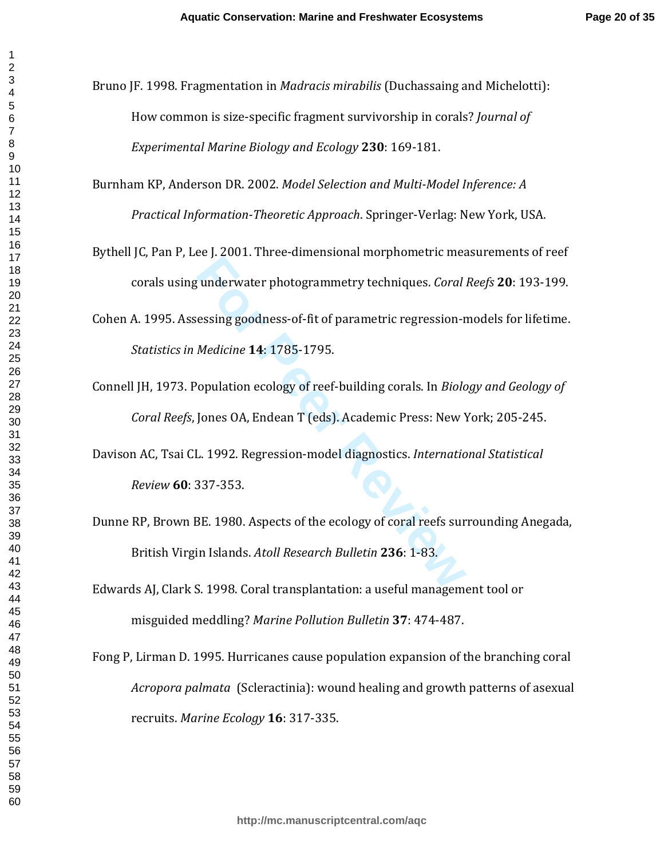- Bruno JF. 1998. Fragmentation in *Madracis mirabilis* (Duchassaing and Michelotti): How common is size-specific fragment survivorship in corals? *Journal of Experimental Marine Biology and Ecology* **230**: 169-181.
- Burnham KP, Anderson DR. 2002. *Model Selection and Multi-Model Inference: A Practical Information-Theoretic Approach*. Springer-Verlag: New York, USA.
- Bythell JC, Pan P, Lee J. 2001. Three-dimensional morphometric measurements of reef corals using underwater photogrammetry techniques. *Coral Reefs* **20**: 193-199.
- Cohen A. 1995. Assessing goodness-of-fit of parametric regression-models for lifetime. *Statistics in Medicine* **14**: 1785-1795.
- Connell JH, 1973. Population ecology of reef-building corals. In *Biology and Geology of Coral Reefs*, Jones OA, Endean T (eds). Academic Press: New York; 205-245.
- Davison AC, Tsai CL. 1992. Regression-model diagnostics. *International Statistical Review* **60**: 337-353.
- For Presearchine and interference interesting<br> **For Presearchine School Anders Contains School Andel Contains School Andel Contains School Andel Contains School Jones OA, Endean T (eds). Academic Press: New You, 1992. Regr** Dunne RP, Brown BE. 1980. Aspects of the ecology of coral reefs surrounding Anegada, British Virgin Islands. *Atoll Research Bulletin* **236**: 1-83.
- Edwards AJ, Clark S. 1998. Coral transplantation: a useful management tool or misguided meddling? *Marine Pollution Bulletin* **37**: 474-487.
- Fong P, Lirman D. 1995. Hurricanes cause population expansion of the branching coral *Acropora palmata* (Scleractinia): wound healing and growth patterns of asexual recruits. *Marine Ecology* **16**: 317-335.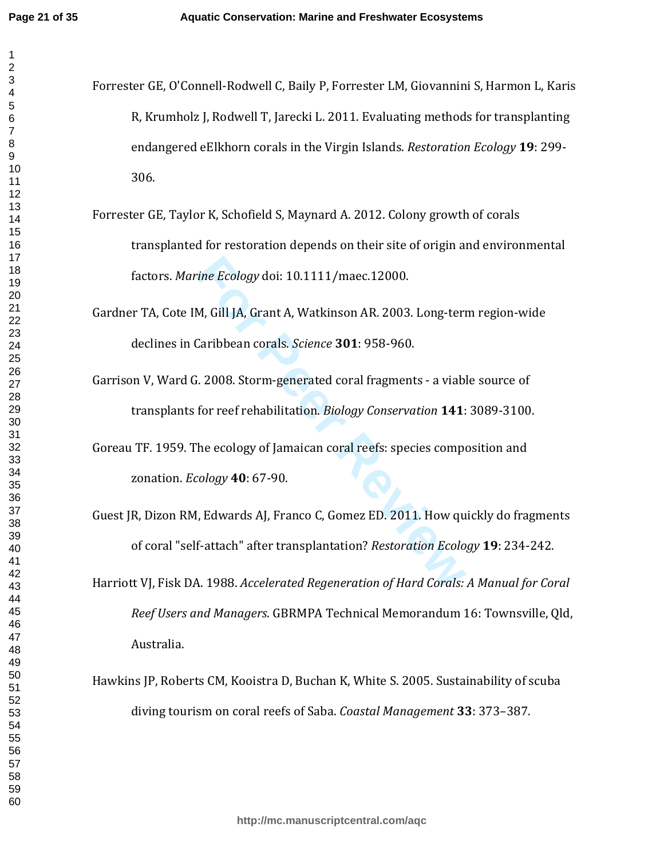- Forrester GE, O'Connell-Rodwell C, Baily P, Forrester LM, Giovannini S, Harmon L, Karis R, Krumholz J, Rodwell T, Jarecki L. 2011. Evaluating methods for transplanting endangered eElkhorn corals in the Virgin Islands. *Restoration Ecology* **19**: 299- 306.
	- Forrester GE, Taylor K, Schofield S, Maynard A. 2012. Colony growth of corals transplanted for restoration depends on their site of origin and environmental factors. *Marine Ecology* doi: 10.1111/maec.12000.
	- Gardner TA, Cote IM, Gill JA, Grant A, Watkinson AR. 2003. Long-term region-wide declines in Caribbean corals. *Science* **301**: 958-960.
	- Garrison V, Ward G. 2008. Storm-generated coral fragments a viable source of transplants for reef rehabilitation. *Biology Conservation* **141**: 3089-3100.
	- Goreau TF. 1959. The ecology of Jamaican coral reefs: species composition and zonation. *Ecology* **40**: 67-90.
	- rine Ecology doi: 10.1111/maec.12000.<br>
	M, Gill JA, Grant A, Watkinson AR. 2003. Long-tern<br>
	Caribbean corals. *Science* **301**: 958-960.<br>
	1. 2008. Storm-generated coral fragments a viab.<br>
	for reef rehabilitation. *Biology* Guest JR, Dizon RM, Edwards AJ, Franco C, Gomez ED. 2011. How quickly do fragments of coral "self-attach" after transplantation? *Restoration Ecology* **19**: 234-242.
	- Harriott VJ, Fisk DA. 1988. *Accelerated Regeneration of Hard Corals: A Manual for Coral Reef Users and Managers*. GBRMPA Technical Memorandum 16: Townsville, Qld, Australia.
	- Hawkins JP, Roberts CM, Kooistra D, Buchan K, White S. 2005. Sustainability of scuba diving tourism on coral reefs of Saba. *Coastal Management* **33**: 373–387.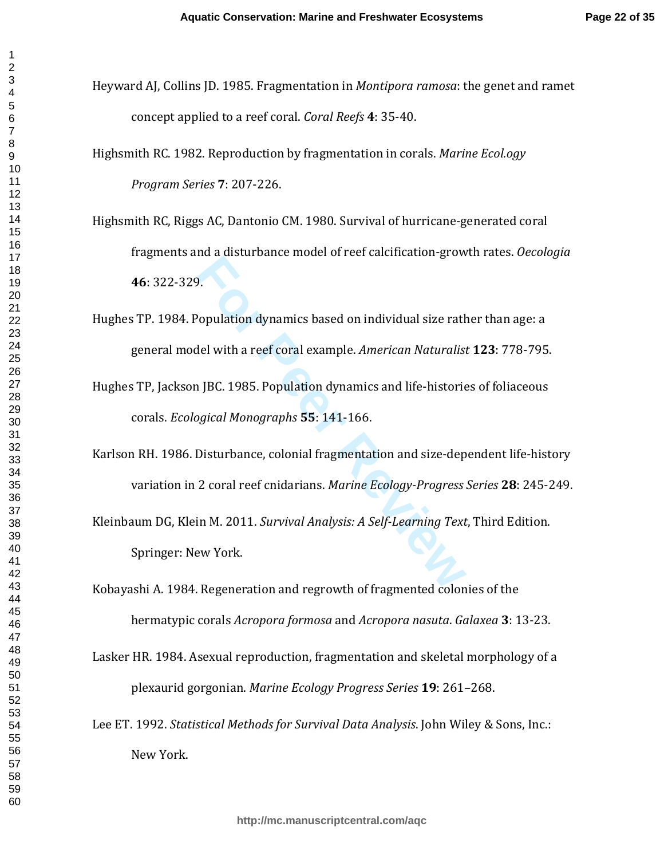- Heyward AJ, Collins JD. 1985. Fragmentation in *Montipora ramosa*: the genet and ramet concept applied to a reef coral. *Coral Reefs* **4**: 35-40.
- Highsmith RC. 1982. Reproduction by fragmentation in corals. *Marine Ecol.ogy Program Series* **7**: 207-226.
- Highsmith RC, Riggs AC, Dantonio CM. 1980. Survival of hurricane-generated coral fragments and a disturbance model of reef calcification-growth rates. *Oecologia* : 322-329.
- Hughes TP. 1984. Population dynamics based on individual size rather than age: a general model with a reef coral example. *American Naturalist* **123**: 778-795.
- Hughes TP, Jackson JBC. 1985. Population dynamics and life-histories of foliaceous corals. *Ecological Monographs* **55**: 141-166.
- Karlson RH. 1986. Disturbance, colonial fragmentation and size-dependent life-history variation in 2 coral reef cnidarians. *Marine Ecology-Progress Series* **28**: 245-249.
- **For Persons and School States Section**<br> **For Persons and School States Section**<br> **For Peer Section**<br> **For Peer Section**<br> **For Peer Review Books**<br> **For Peer Review York.**<br> **Review York.**<br> **Review York.**<br> **Review York.**<br> **R** Kleinbaum DG, Klein M. 2011. *Survival Analysis: A Self-Learning Text*, Third Edition. Springer: New York.
- Kobayashi A. 1984. Regeneration and regrowth of fragmented colonies of the hermatypic corals *Acropora formosa* and *Acropora nasuta*. *Galaxea* **3**: 13-23.
- Lasker HR. 1984. Asexual reproduction, fragmentation and skeletal morphology of a plexaurid gorgonian. *Marine Ecology Progress Series* **19**: 261–268.
- Lee ET. 1992. *Statistical Methods for Survival Data Analysis*. John Wiley & Sons, Inc.: New York.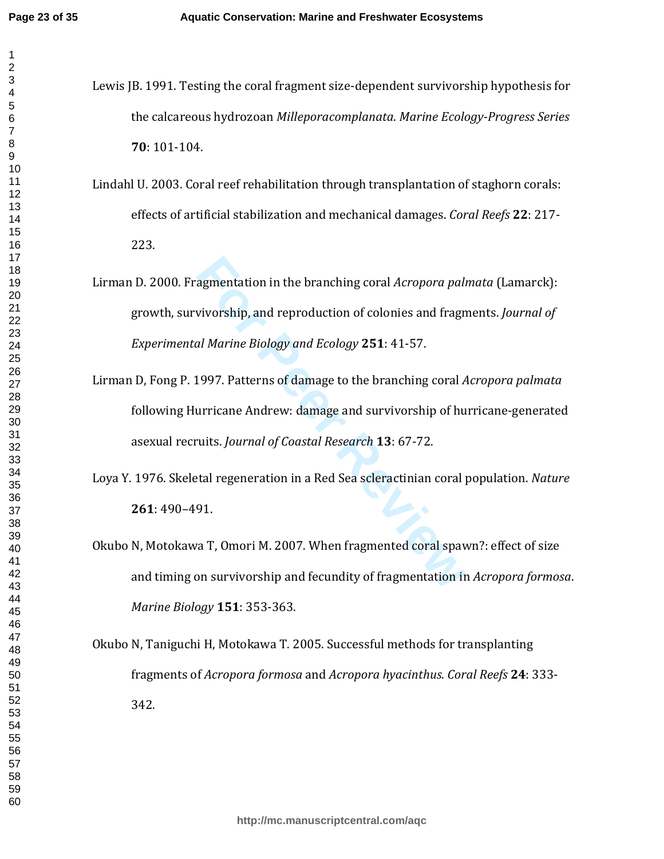- Lewis JB. 1991. Testing the coral fragment size-dependent survivorship hypothesis for the calcareous hydrozoan *Milleporacomplanata*. *Marine Ecology-Progress Series* : 101-104.
- Lindahl U. 2003. Coral reef rehabilitation through transplantation of staghorn corals: effects of artificial stabilization and mechanical damages. *Coral Reefs* **22**: 217- 223.
- agmentation in the branching coral *Acropora pali*<br>vivorship, and reproduction of colonies and fragn<br>al Marine Biology and Ecology 251: 41-57.<br>1997. Patterns of damage to the branching coral *A*<br>urricane Andrew: damage and Lirman D. 2000. Fragmentation in the branching coral *Acropora palmata* (Lamarck): growth, survivorship, and reproduction of colonies and fragments. *Journal of Experimental Marine Biology and Ecology* **251**: 41-57.
- Lirman D, Fong P. 1997. Patterns of damage to the branching coral *Acropora palmata* following Hurricane Andrew: damage and survivorship of hurricane-generated asexual recruits. *Journal of Coastal Research* **13**: 67-72.
- Loya Y. 1976. Skeletal regeneration in a Red Sea scleractinian coral population. *Nature* : 490–491.
- Okubo N, Motokawa T, Omori M. 2007. When fragmented coral spawn?: effect of size and timing on survivorship and fecundity of fragmentation in *Acropora formosa*. *Marine Biology* **151**: 353-363.
- Okubo N, Taniguchi H, Motokawa T. 2005. Successful methods for transplanting fragments of *Acropora formosa* and *Acropora hyacinthus*. *Coral Reefs* **24**: 333- 342.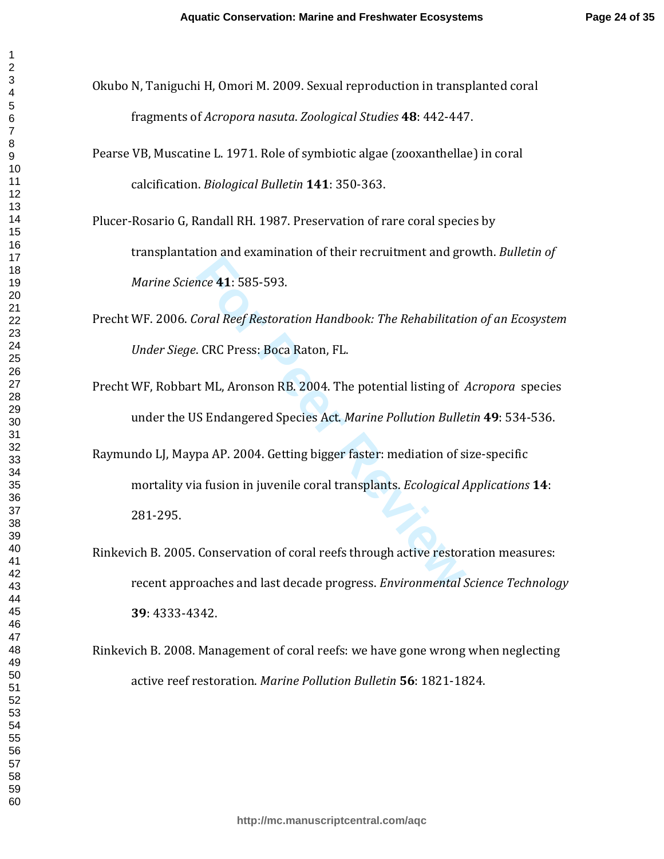- Okubo N, Taniguchi H, Omori M. 2009. Sexual reproduction in transplanted coral fragments of *Acropora nasuta*. *Zoological Studies* **48**: 442-447.
- Pearse VB, Muscatine L. 1971. Role of symbiotic algae (zooxanthellae) in coral calcification. *Biological Bulletin* **141**: 350-363.
- Plucer-Rosario G, Randall RH. 1987. Preservation of rare coral species by transplantation and examination of their recruitment and growth. *Bulletin of Marine Science* **41**: 585-593.
- Precht WF. 2006. *Coral Reef Restoration Handbook: The Rehabilitation of an Ecosystem Under Siege*. CRC Press: Boca Raton, FL.
- Precht WF, Robbart ML, Aronson RB. 2004. The potential listing of *Acropora* species under the US Endangered Species Act. *Marine Pollution Bulletin* **49**: 534-536.
- For and shammation of their containmentaties of<br>
Fore 41: 585-593.<br>
Fore 41: 585-593.<br>
Fore Press: Boca Raton, FL.<br> **Fore Press: Boca Raton, FL.**<br> **Fore Press: Boca Raton, FL.**<br> **Fore Press: Boca Raton, FL.**<br> **Fore Polluti** Raymundo LJ, Maypa AP. 2004. Getting bigger faster: mediation of size-specific mortality via fusion in juvenile coral transplants. *Ecological Applications* **14**: 281-295.
- Rinkevich B. 2005. Conservation of coral reefs through active restoration measures: recent approaches and last decade progress. *Environmental Science Technology*  : 4333-4342.
- Rinkevich B. 2008. Management of coral reefs: we have gone wrong when neglecting active reef restoration. *Marine Pollution Bulletin* **56**: 1821-1824.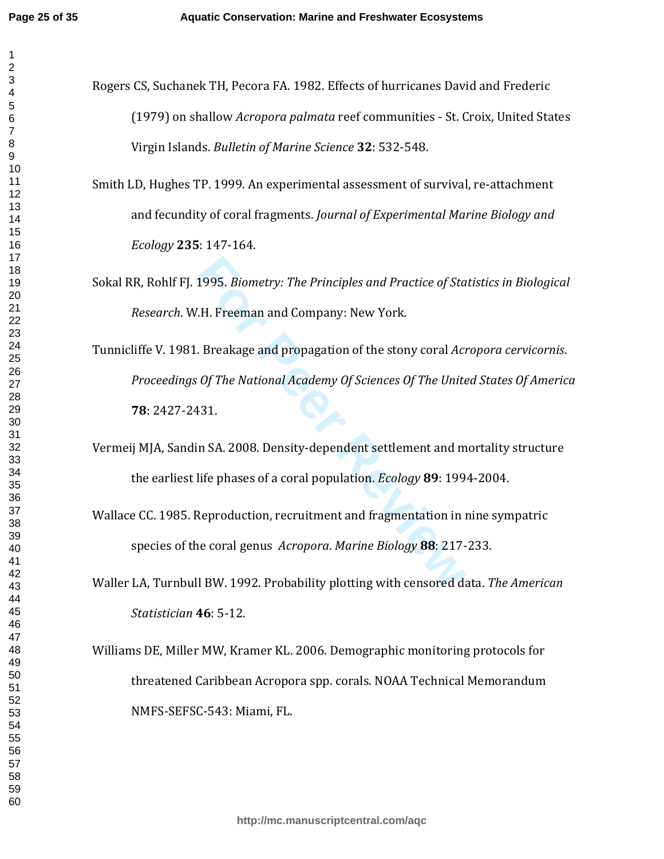- Rogers CS, Suchanek TH, Pecora FA. 1982. Effects of hurricanes David and Frederic (1979) on shallow *Acropora palmata* reef communities - St. Croix, United States Virgin Islands. *Bulletin of Marine Science* **32**: 532-548.
	- Smith LD, Hughes TP. 1999. An experimental assessment of survival, re-attachment and fecundity of coral fragments. *Journal of Experimental Marine Biology and Ecology* **235**: 147-164.
	- Sokal RR, Rohlf FJ. 1995. *Biometry: The Principles and Practice of Statistics in Biological Research*. W.H. Freeman and Company: New York.
	- 1995. *Biometry: The Principles and Practice of Sta*<br>1.H. Freeman and Company: New York.<br>1.H. Freeman and Company: New York.<br>1.*Breakage and propagation of the stony coral Acta of The Unite*<br>131.<br>131.<br>11 SA. 2008. Density-Tunnicliffe V. 1981. Breakage and propagation of the stony coral *Acropora cervicornis*. *Proceedings Of The National Academy Of Sciences Of The United States Of America* : 2427-2431.
	- Vermeij MJA, Sandin SA. 2008. Density-dependent settlement and mortality structure the earliest life phases of a coral population. *Ecology* **89**: 1994-2004.
	- Wallace CC. 1985. Reproduction, recruitment and fragmentation in nine sympatric species of the coral genus *Acropora*. *Marine Biology* **88**: 217-233.
	- Waller LA, Turnbull BW. 1992. Probability plotting with censored data. *The American Statistician* **46**: 5-12.
	- Williams DE, Miller MW, Kramer KL. 2006. Demographic monitoring protocols for threatened Caribbean Acropora spp. corals. NOAA Technical Memorandum NMFS-SEFSC-543: Miami, FL.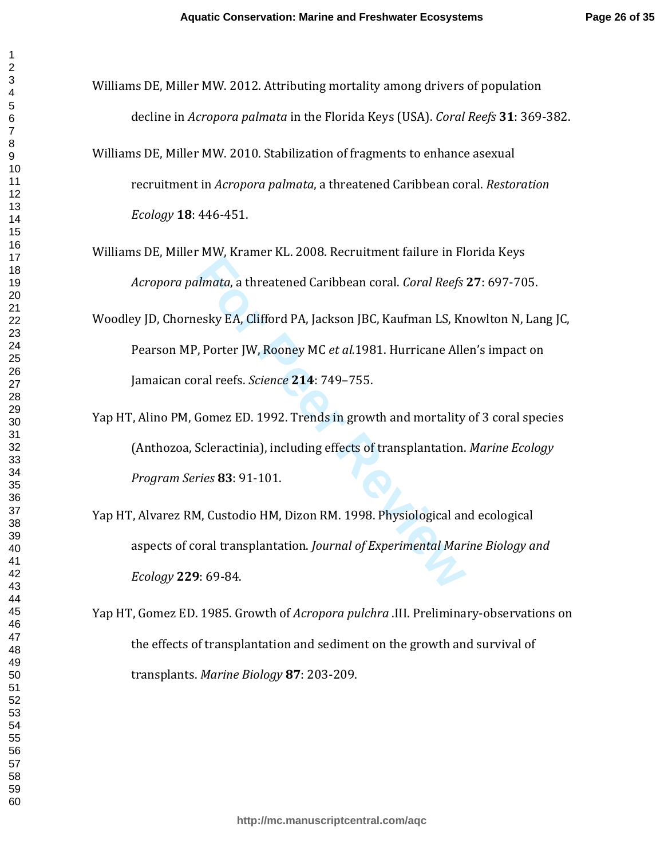- Williams DE, Miller MW. 2012. Attributing mortality among drivers of population decline in *Acropora palmata* in the Florida Keys (USA). *Coral Reefs* **31**: 369-382.
- Williams DE, Miller MW. 2010. Stabilization of fragments to enhance asexual recruitment in *Acropora palmata*, a threatened Caribbean coral. *Restoration Ecology* **18**: 446-451.
- Williams DE, Miller MW, Kramer KL. 2008. Recruitment failure in Florida Keys *Acropora palmata*, a threatened Caribbean coral. *Coral Reefs* **27**: 697-705.
- Woodley JD, Chornesky EA, Clifford PA, Jackson JBC, Kaufman LS, Knowlton N, Lang JC, Pearson MP, Porter JW, Rooney MC *et al.*1981. Hurricane Allen's impact on Jamaican coral reefs. *Science* **214**: 749–755.
- Yap HT, Alino PM, Gomez ED. 1992. Trends in growth and mortality of 3 coral species (Anthozoa, Scleractinia), including effects of transplantation. *Marine Ecology Program Series* **83**: 91-101.
- *Elmata*, a threatened Caribbean coral. *Coral Reefs*<br>
Esky EA, Clifford PA, Jackson JBC, Kaufman LS, Kr,<br>
Porter JW, Rooney MC *et al.* 1981. Hurricane Alle<br>
Fral reefs. *Science* 214: 749–755.<br>
Gomez ED. 1992. Trends in Yap HT, Alvarez RM, Custodio HM, Dizon RM. 1998. Physiological and ecological aspects of coral transplantation. *Journal of Experimental Marine Biology and Ecology* **229**: 69-84.
- Yap HT, Gomez ED. 1985. Growth of *Acropora pulchra* .III. Preliminary-observations on the effects of transplantation and sediment on the growth and survival of transplants. *Marine Biology* **87**: 203-209.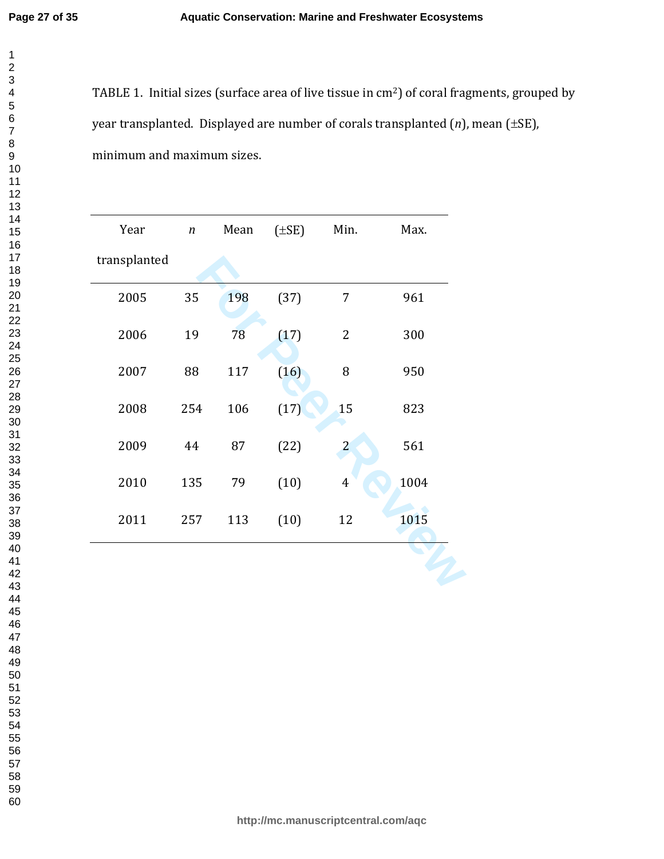TABLE 1. Initial sizes (surface area of live tissue in cm <sup>2</sup>) of coral fragments, grouped by year transplanted. Displayed are number of corals transplanted ( *n*), mean ( ±SE), minimum and maximum sizes.

| Year         | $\sqrt{n}$ | Mean | $(\pm SE)$ | Min.             | Max. |
|--------------|------------|------|------------|------------------|------|
| transplanted |            |      |            |                  |      |
| 2005         | 35         | 198  | (37)       | 7                | 961  |
| 2006         | 19         | 78   | (17)       | $\overline{2}$   | 300  |
| 2007         | 88         | 117  | (16)       | 8                | 950  |
| 2008         | 254        | 106  | (17)       | 15               | 823  |
| 2009         | 44         | 87   | (22)       | $\overline{a}$   | 561  |
| 2010         | 135        | 79   | (10)       | $\boldsymbol{4}$ | 1004 |
| 2011         | 257        | 113  | (10)       | 12               | 1015 |
|              |            |      |            |                  |      |
|              |            |      |            |                  |      |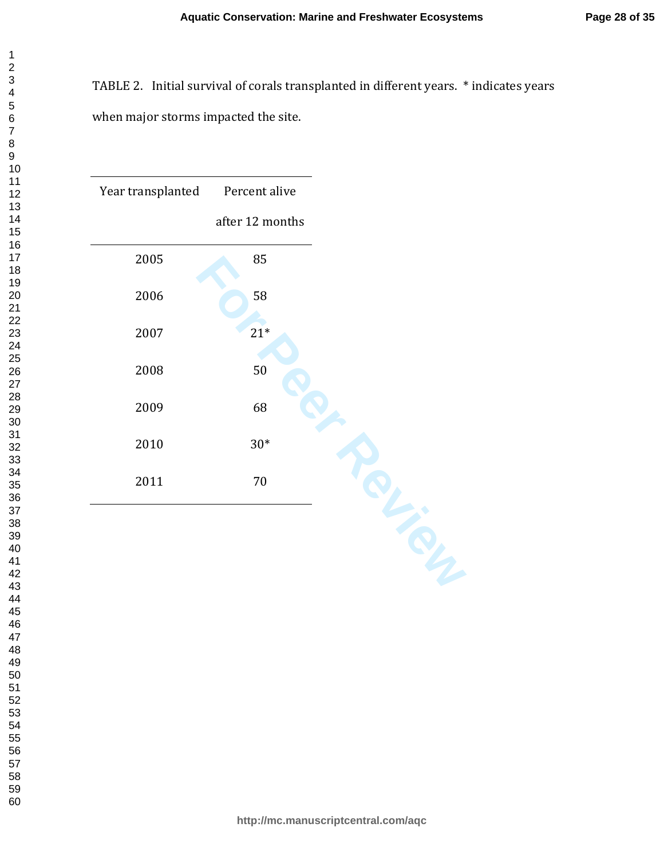# TABLE 2. Initial survival of corals transplanted in different years. \* indicates years when major storms impacted the site.

**http://mc.manuscriptcentral.com/aqc**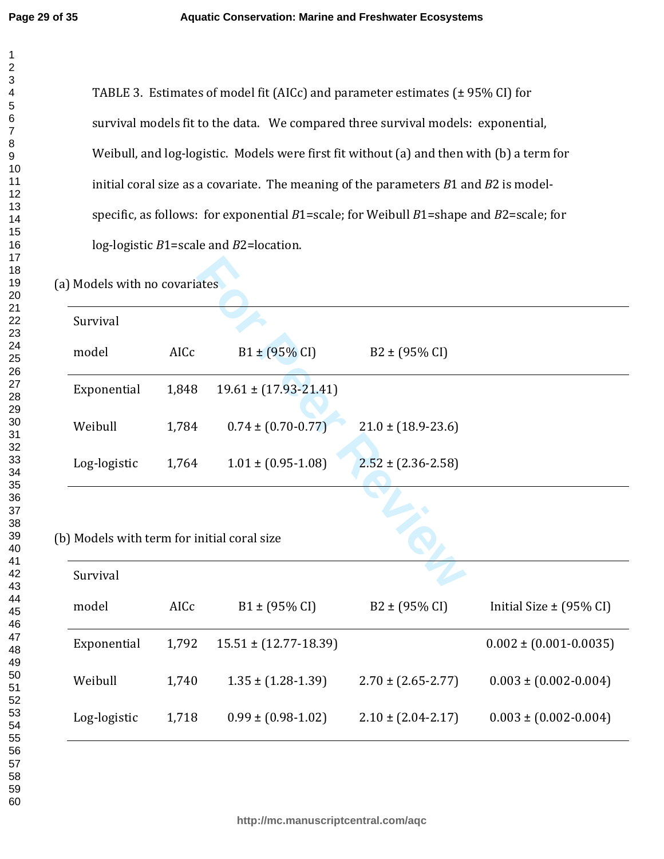TABLE 3. Estimates of model fit (AICc) and parameter estimates (± 95% CI) for survival models fit to the data. We compared three survival models: exponential, Weibull, and log-logistic. Models were first fit without (a) and then with (b) a term for initial coral size as a covariate. The meaning of the parameters *B*1 and *B*2 is modelspecific, as follows: for exponential *B*1=scale; for Weibull *B*1=shape and *B*2=scale; for log-logistic *B*1=scale and *B*2=location.

| (a) Models with no covariates |                                             |       |                             |                            |                              |  |  |  |  |  |
|-------------------------------|---------------------------------------------|-------|-----------------------------|----------------------------|------------------------------|--|--|--|--|--|
|                               | Survival                                    |       |                             |                            |                              |  |  |  |  |  |
|                               | model                                       | AICc  | $B1 \pm (95\% \text{ CI})$  | $B2 \pm (95\% \text{ CI})$ |                              |  |  |  |  |  |
|                               | Exponential                                 | 1,848 | $19.61 \pm (17.93 - 21.41)$ |                            |                              |  |  |  |  |  |
|                               | Weibull                                     | 1,784 | $0.74 \pm (0.70 - 0.77)$    | $21.0 \pm (18.9 - 23.6)$   |                              |  |  |  |  |  |
|                               | Log-logistic                                | 1,764 | $1.01 \pm (0.95 - 1.08)$    | $2.52 \pm (2.36 - 2.58)$   |                              |  |  |  |  |  |
|                               |                                             |       |                             |                            |                              |  |  |  |  |  |
|                               | (b) Models with term for initial coral size |       |                             |                            |                              |  |  |  |  |  |
|                               | Survival                                    |       |                             |                            |                              |  |  |  |  |  |
|                               | model                                       | AICc  | $B1 \pm (95\% \text{ CI})$  | $B2 \pm (95\% \text{ CI})$ | Initial Size $\pm$ (95% CI)  |  |  |  |  |  |
|                               | Exponential                                 | 1,792 | $15.51 \pm (12.77 - 18.39)$ |                            | $0.002 \pm (0.001 - 0.0035)$ |  |  |  |  |  |
|                               | Weibull                                     | 1,740 | $1.35 \pm (1.28 - 1.39)$    | $2.70 \pm (2.65 - 2.77)$   | $0.003 \pm (0.002 - 0.004)$  |  |  |  |  |  |
|                               | Log-logistic                                | 1,718 | $0.99 \pm (0.98 - 1.02)$    | $2.10 \pm (2.04 - 2.17)$   | $0.003 \pm (0.002 - 0.004)$  |  |  |  |  |  |
|                               |                                             |       |                             |                            |                              |  |  |  |  |  |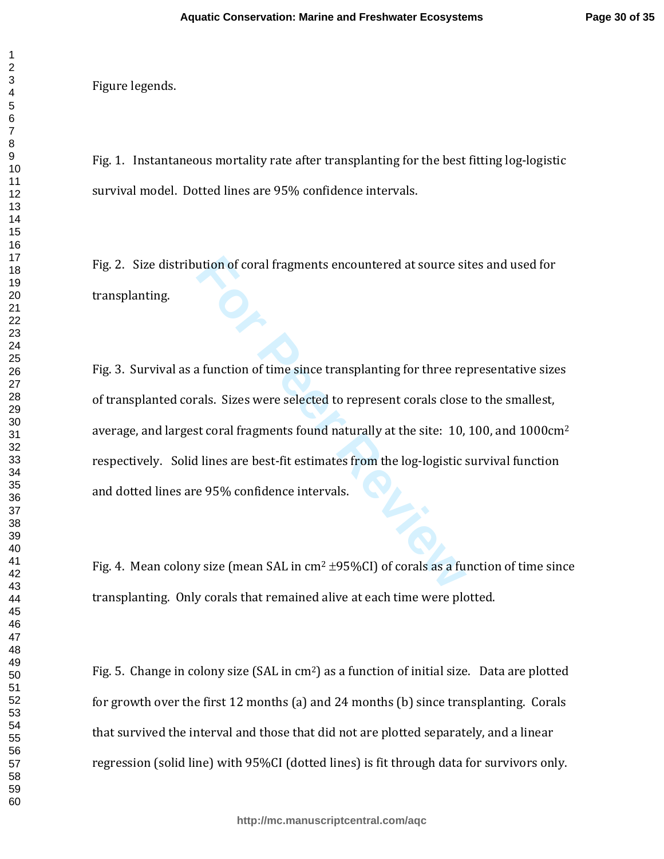Figure legends.

Fig. 1. Instantaneous mortality rate after transplanting for the best fitting log-logistic survival model. Dotted lines are 95% confidence intervals.

Fig. 2. Size distribution of coral fragments encountered at source sites and used for transplanting.

ution of coral fragments encountered at source si<br> **For Peer All starts in the Since Example 15 and the Sizes were selected to represent corals close**<br> **For Peer Sizes were selected to represent corals close**<br> **For Peer Si** Fig. 3. Survival as a function of time since transplanting for three representative sizes of transplanted corals. Sizes were selected to represent corals close to the smallest, average, and largest coral fragments found naturally at the site: 10, 100, and 1000cm<sup>2</sup> respectively. Solid lines are best-fit estimates from the log-logistic survival function and dotted lines are 95% confidence intervals.

Fig. 4. Mean colony size (mean SAL in  $cm<sup>2</sup> \pm 95\% CI$ ) of corals as a function of time since transplanting. Only corals that remained alive at each time were plotted.

Fig. 5. Change in colony size (SAL in cm<sup>2</sup>) as a function of initial size. Data are plotted for growth over the first 12 months (a) and 24 months (b) since transplanting. Corals that survived the interval and those that did not are plotted separately, and a linear regression (solid line) with 95%CI (dotted lines) is fit through data for survivors only.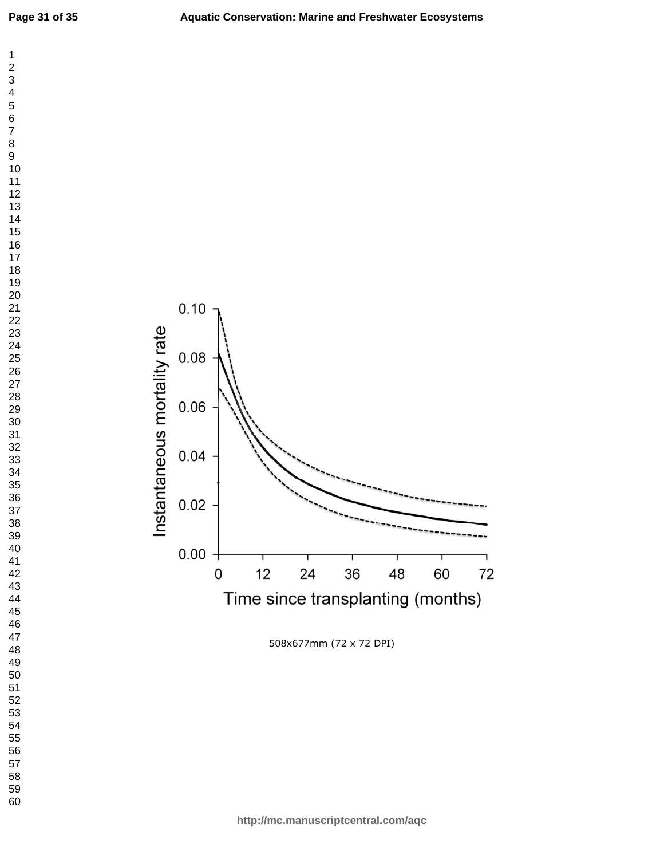



508x677mm (72 x 72 DPI)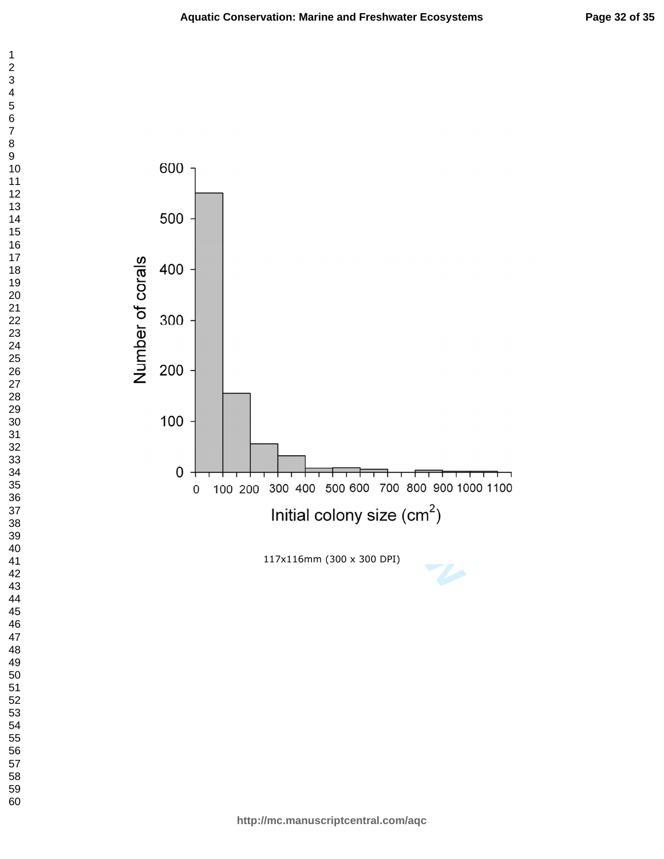



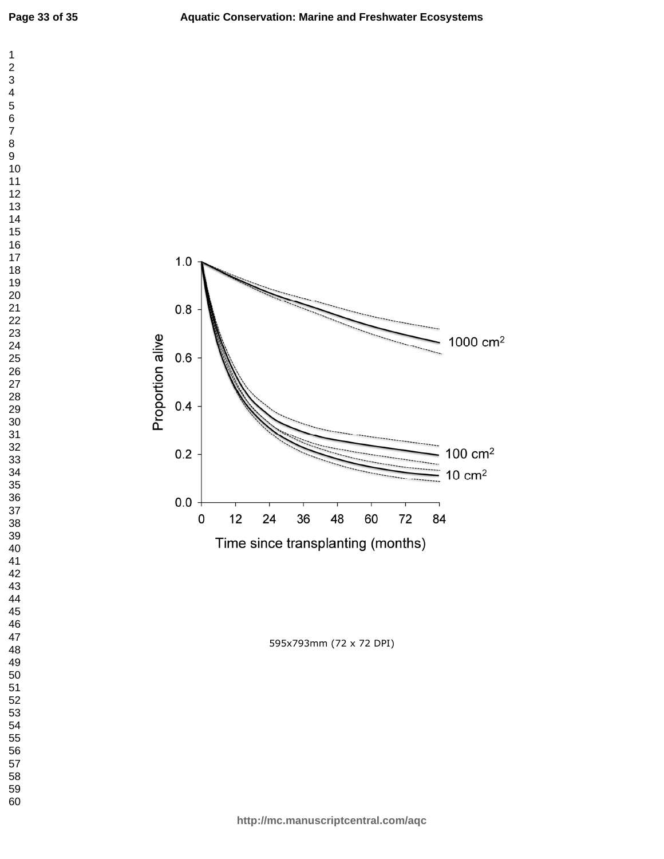



595x793mm (72 x 72 DPI)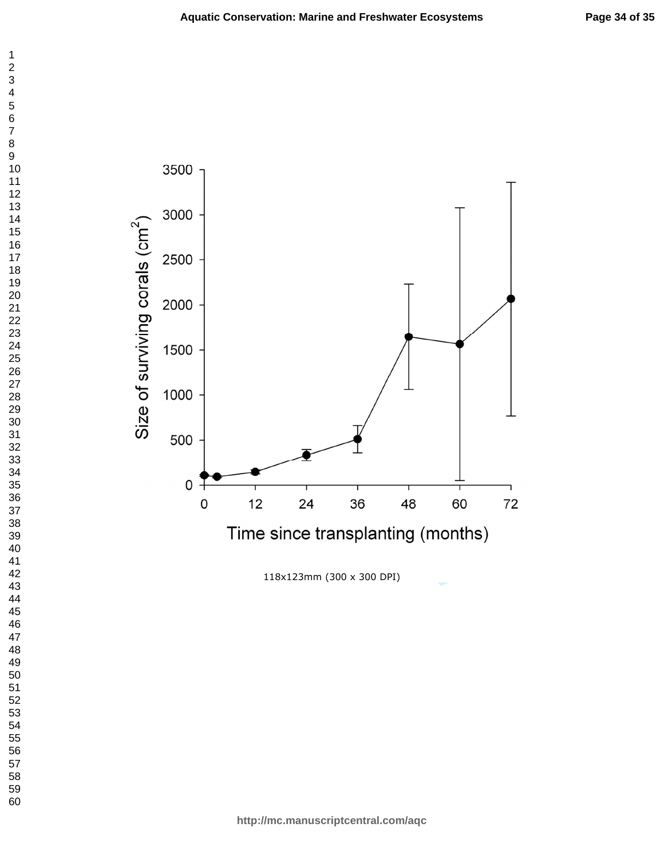

118x123mm (300 x 300 DPI)

 $\mathbf 1$  $\overline{c}$  $\overline{\mathbf{4}}$  $\overline{7}$  $\bf8$